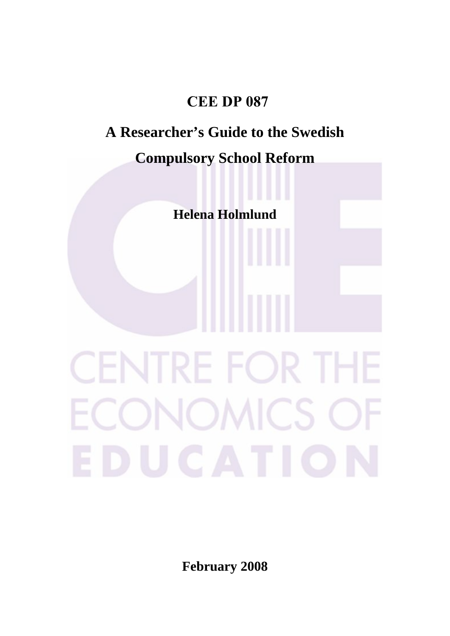# **CEE DP 087**

# **A Researcher's Guide to the Swedish**

# **Compulsory School Reform**

**Helena Holmlund** 

# CENTRE FOR THE ECONOMICS OF EDUCATION

**February 2008**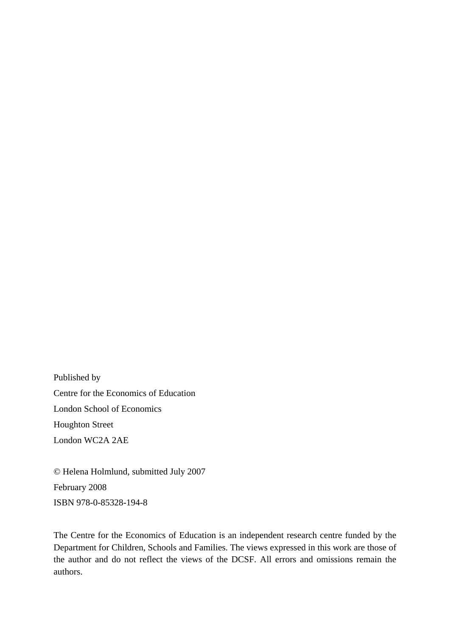Published by Centre for the Economics of Education London School of Economics Houghton Street London WC2A 2AE

© Helena Holmlund, submitted July 2007 February 2008 ISBN 978-0-85328-194-8

The Centre for the Economics of Education is an independent research centre funded by the Department for Children, Schools and Families. The views expressed in this work are those of the author and do not reflect the views of the DCSF. All errors and omissions remain the authors.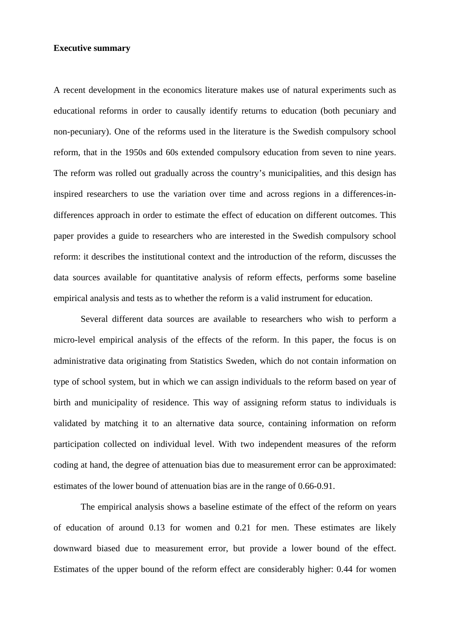#### **Executive summary**

A recent development in the economics literature makes use of natural experiments such as educational reforms in order to causally identify returns to education (both pecuniary and non-pecuniary). One of the reforms used in the literature is the Swedish compulsory school reform, that in the 1950s and 60s extended compulsory education from seven to nine years. The reform was rolled out gradually across the country's municipalities, and this design has inspired researchers to use the variation over time and across regions in a differences-indifferences approach in order to estimate the effect of education on different outcomes. This paper provides a guide to researchers who are interested in the Swedish compulsory school reform: it describes the institutional context and the introduction of the reform, discusses the data sources available for quantitative analysis of reform effects, performs some baseline empirical analysis and tests as to whether the reform is a valid instrument for education.

 Several different data sources are available to researchers who wish to perform a micro-level empirical analysis of the effects of the reform. In this paper, the focus is on administrative data originating from Statistics Sweden, which do not contain information on type of school system, but in which we can assign individuals to the reform based on year of birth and municipality of residence. This way of assigning reform status to individuals is validated by matching it to an alternative data source, containing information on reform participation collected on individual level. With two independent measures of the reform coding at hand, the degree of attenuation bias due to measurement error can be approximated: estimates of the lower bound of attenuation bias are in the range of 0.66-0.91.

 The empirical analysis shows a baseline estimate of the effect of the reform on years of education of around 0.13 for women and 0.21 for men. These estimates are likely downward biased due to measurement error, but provide a lower bound of the effect. Estimates of the upper bound of the reform effect are considerably higher: 0.44 for women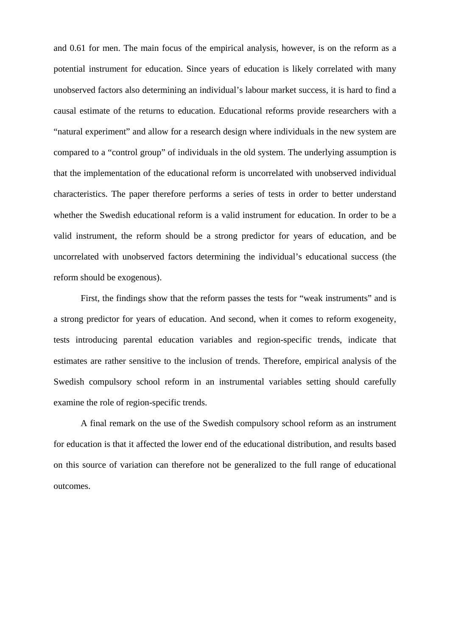and 0.61 for men. The main focus of the empirical analysis, however, is on the reform as a potential instrument for education. Since years of education is likely correlated with many unobserved factors also determining an individual's labour market success, it is hard to find a causal estimate of the returns to education. Educational reforms provide researchers with a "natural experiment" and allow for a research design where individuals in the new system are compared to a "control group" of individuals in the old system. The underlying assumption is that the implementation of the educational reform is uncorrelated with unobserved individual characteristics. The paper therefore performs a series of tests in order to better understand whether the Swedish educational reform is a valid instrument for education. In order to be a valid instrument, the reform should be a strong predictor for years of education, and be uncorrelated with unobserved factors determining the individual's educational success (the reform should be exogenous).

 First, the findings show that the reform passes the tests for "weak instruments" and is a strong predictor for years of education. And second, when it comes to reform exogeneity, tests introducing parental education variables and region-specific trends, indicate that estimates are rather sensitive to the inclusion of trends. Therefore, empirical analysis of the Swedish compulsory school reform in an instrumental variables setting should carefully examine the role of region-specific trends.

 A final remark on the use of the Swedish compulsory school reform as an instrument for education is that it affected the lower end of the educational distribution, and results based on this source of variation can therefore not be generalized to the full range of educational outcomes.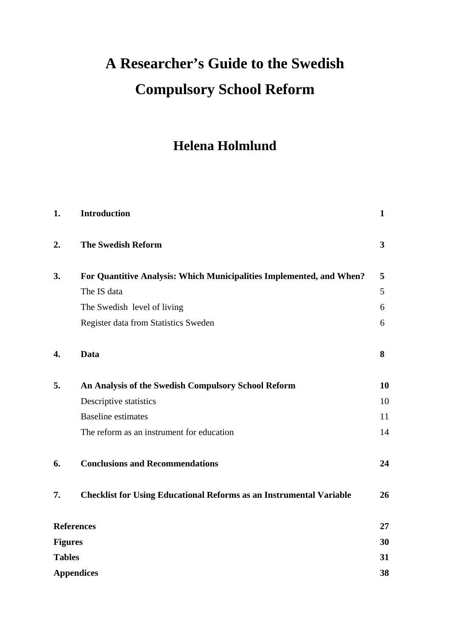# **A Researcher's Guide to the Swedish Compulsory School Reform**

# **Helena Holmlund**

| 1.             | <b>Introduction</b>                                                        | $\mathbf{1}$ |
|----------------|----------------------------------------------------------------------------|--------------|
| 2.             | <b>The Swedish Reform</b>                                                  | $\mathbf{3}$ |
| 3.             | For Quantitive Analysis: Which Municipalities Implemented, and When?       | 5            |
|                | The IS data                                                                | 5            |
|                | The Swedish level of living                                                | 6            |
|                | Register data from Statistics Sweden                                       | 6            |
| 4.             | Data                                                                       | 8            |
| 5.             | An Analysis of the Swedish Compulsory School Reform                        | 10           |
|                | Descriptive statistics                                                     | 10           |
|                | <b>Baseline</b> estimates                                                  | 11           |
|                | The reform as an instrument for education                                  | 14           |
| 6.             | <b>Conclusions and Recommendations</b>                                     | 24           |
| 7.             | <b>Checklist for Using Educational Reforms as an Instrumental Variable</b> | 26           |
|                | <b>References</b>                                                          | 27           |
| <b>Figures</b> |                                                                            | 30           |
| <b>Tables</b>  |                                                                            | 31           |
|                | <b>Appendices</b>                                                          | 38           |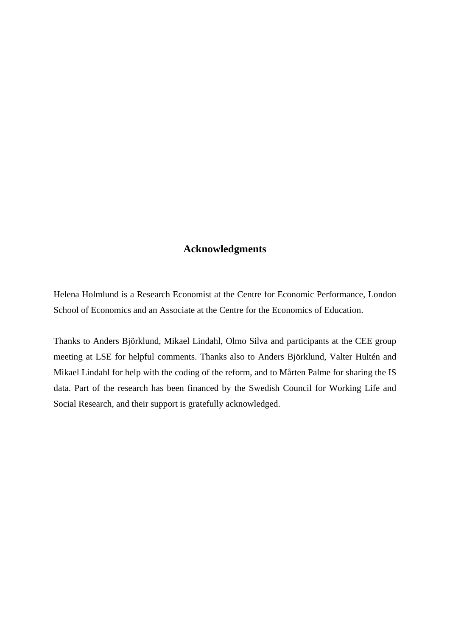# **Acknowledgments**

Helena Holmlund is a Research Economist at the Centre for Economic Performance, London School of Economics and an Associate at the Centre for the Economics of Education.

Thanks to Anders Björklund, Mikael Lindahl, Olmo Silva and participants at the CEE group meeting at LSE for helpful comments. Thanks also to Anders Björklund, Valter Hultén and Mikael Lindahl for help with the coding of the reform, and to Mårten Palme for sharing the IS data. Part of the research has been financed by the Swedish Council for Working Life and Social Research, and their support is gratefully acknowledged.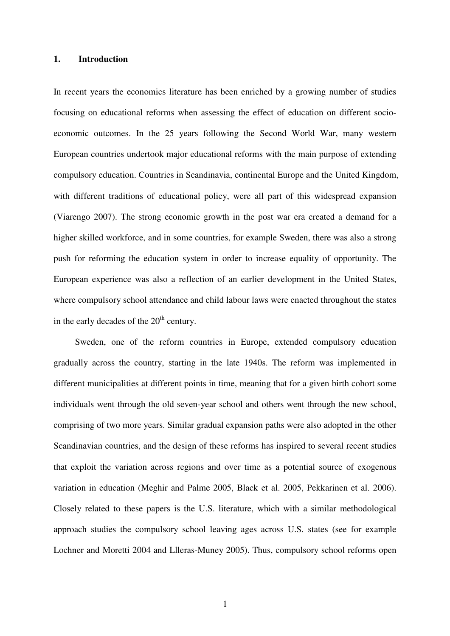#### **1. Introduction**

In recent years the economics literature has been enriched by a growing number of studies focusing on educational reforms when assessing the effect of education on different socioeconomic outcomes. In the 25 years following the Second World War, many western European countries undertook major educational reforms with the main purpose of extending compulsory education. Countries in Scandinavia, continental Europe and the United Kingdom, with different traditions of educational policy, were all part of this widespread expansion (Viarengo 2007). The strong economic growth in the post war era created a demand for a higher skilled workforce, and in some countries, for example Sweden, there was also a strong push for reforming the education system in order to increase equality of opportunity. The European experience was also a reflection of an earlier development in the United States, where compulsory school attendance and child labour laws were enacted throughout the states in the early decades of the  $20<sup>th</sup>$  century.

Sweden, one of the reform countries in Europe, extended compulsory education gradually across the country, starting in the late 1940s. The reform was implemented in different municipalities at different points in time, meaning that for a given birth cohort some individuals went through the old seven-year school and others went through the new school, comprising of two more years. Similar gradual expansion paths were also adopted in the other Scandinavian countries, and the design of these reforms has inspired to several recent studies that exploit the variation across regions and over time as a potential source of exogenous variation in education (Meghir and Palme 2005, Black et al. 2005, Pekkarinen et al. 2006). Closely related to these papers is the U.S. literature, which with a similar methodological approach studies the compulsory school leaving ages across U.S. states (see for example Lochner and Moretti 2004 and Llleras-Muney 2005). Thus, compulsory school reforms open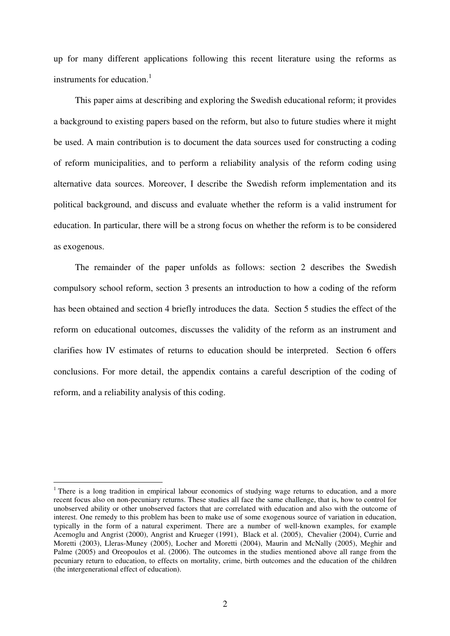up for many different applications following this recent literature using the reforms as instruments for education.<sup>1</sup>

 This paper aims at describing and exploring the Swedish educational reform; it provides a background to existing papers based on the reform, but also to future studies where it might be used. A main contribution is to document the data sources used for constructing a coding of reform municipalities, and to perform a reliability analysis of the reform coding using alternative data sources. Moreover, I describe the Swedish reform implementation and its political background, and discuss and evaluate whether the reform is a valid instrument for education. In particular, there will be a strong focus on whether the reform is to be considered as exogenous.

 The remainder of the paper unfolds as follows: section 2 describes the Swedish compulsory school reform, section 3 presents an introduction to how a coding of the reform has been obtained and section 4 briefly introduces the data. Section 5 studies the effect of the reform on educational outcomes, discusses the validity of the reform as an instrument and clarifies how IV estimates of returns to education should be interpreted. Section 6 offers conclusions. For more detail, the appendix contains a careful description of the coding of reform, and a reliability analysis of this coding.

 $\overline{a}$ 

<sup>&</sup>lt;sup>1</sup> There is a long tradition in empirical labour economics of studying wage returns to education, and a more recent focus also on non-pecuniary returns. These studies all face the same challenge, that is, how to control for unobserved ability or other unobserved factors that are correlated with education and also with the outcome of interest. One remedy to this problem has been to make use of some exogenous source of variation in education, typically in the form of a natural experiment. There are a number of well-known examples, for example Acemoglu and Angrist (2000), Angrist and Krueger (1991), Black et al. (2005), Chevalier (2004), Currie and Moretti (2003), Lleras-Muney (2005), Locher and Moretti (2004), Maurin and McNally (2005), Meghir and Palme (2005) and Oreopoulos et al. (2006). The outcomes in the studies mentioned above all range from the pecuniary return to education, to effects on mortality, crime, birth outcomes and the education of the children (the intergenerational effect of education).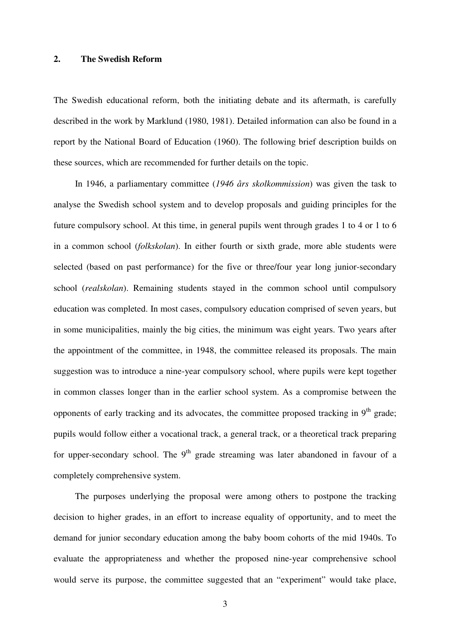#### **2. The Swedish Reform**

The Swedish educational reform, both the initiating debate and its aftermath, is carefully described in the work by Marklund (1980, 1981). Detailed information can also be found in a report by the National Board of Education (1960). The following brief description builds on these sources, which are recommended for further details on the topic.

In 1946, a parliamentary committee (*1946 års skolkommission*) was given the task to analyse the Swedish school system and to develop proposals and guiding principles for the future compulsory school. At this time, in general pupils went through grades 1 to 4 or 1 to 6 in a common school (*folkskolan*). In either fourth or sixth grade, more able students were selected (based on past performance) for the five or three/four year long junior-secondary school (*realskolan*). Remaining students stayed in the common school until compulsory education was completed. In most cases, compulsory education comprised of seven years, but in some municipalities, mainly the big cities, the minimum was eight years. Two years after the appointment of the committee, in 1948, the committee released its proposals. The main suggestion was to introduce a nine-year compulsory school, where pupils were kept together in common classes longer than in the earlier school system. As a compromise between the opponents of early tracking and its advocates, the committee proposed tracking in  $9<sup>th</sup>$  grade; pupils would follow either a vocational track, a general track, or a theoretical track preparing for upper-secondary school. The  $9<sup>th</sup>$  grade streaming was later abandoned in favour of a completely comprehensive system.

The purposes underlying the proposal were among others to postpone the tracking decision to higher grades, in an effort to increase equality of opportunity, and to meet the demand for junior secondary education among the baby boom cohorts of the mid 1940s. To evaluate the appropriateness and whether the proposed nine-year comprehensive school would serve its purpose, the committee suggested that an "experiment" would take place,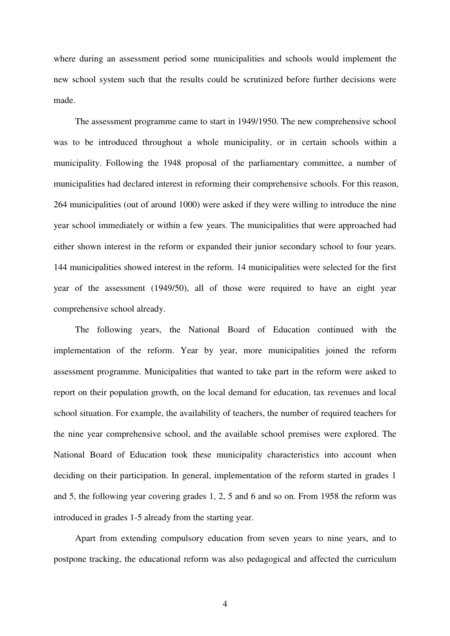where during an assessment period some municipalities and schools would implement the new school system such that the results could be scrutinized before further decisions were made.

The assessment programme came to start in 1949/1950. The new comprehensive school was to be introduced throughout a whole municipality, or in certain schools within a municipality. Following the 1948 proposal of the parliamentary committee, a number of municipalities had declared interest in reforming their comprehensive schools. For this reason, 264 municipalities (out of around 1000) were asked if they were willing to introduce the nine year school immediately or within a few years. The municipalities that were approached had either shown interest in the reform or expanded their junior secondary school to four years. 144 municipalities showed interest in the reform. 14 municipalities were selected for the first year of the assessment (1949/50), all of those were required to have an eight year comprehensive school already.

The following years, the National Board of Education continued with the implementation of the reform. Year by year, more municipalities joined the reform assessment programme. Municipalities that wanted to take part in the reform were asked to report on their population growth, on the local demand for education, tax revenues and local school situation. For example, the availability of teachers, the number of required teachers for the nine year comprehensive school, and the available school premises were explored. The National Board of Education took these municipality characteristics into account when deciding on their participation. In general, implementation of the reform started in grades 1 and 5, the following year covering grades 1, 2, 5 and 6 and so on. From 1958 the reform was introduced in grades 1-5 already from the starting year.

 Apart from extending compulsory education from seven years to nine years, and to postpone tracking, the educational reform was also pedagogical and affected the curriculum

4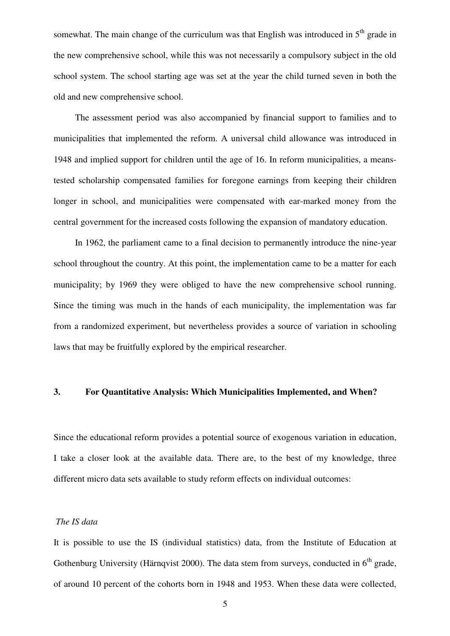somewhat. The main change of the curriculum was that English was introduced in  $5<sup>th</sup>$  grade in the new comprehensive school, while this was not necessarily a compulsory subject in the old school system. The school starting age was set at the year the child turned seven in both the old and new comprehensive school.

 The assessment period was also accompanied by financial support to families and to municipalities that implemented the reform. A universal child allowance was introduced in 1948 and implied support for children until the age of 16. In reform municipalities, a meanstested scholarship compensated families for foregone earnings from keeping their children longer in school, and municipalities were compensated with ear-marked money from the central government for the increased costs following the expansion of mandatory education.

 In 1962, the parliament came to a final decision to permanently introduce the nine-year school throughout the country. At this point, the implementation came to be a matter for each municipality; by 1969 they were obliged to have the new comprehensive school running. Since the timing was much in the hands of each municipality, the implementation was far from a randomized experiment, but nevertheless provides a source of variation in schooling laws that may be fruitfully explored by the empirical researcher.

#### **3. For Quantitative Analysis: Which Municipalities Implemented, and When?**

Since the educational reform provides a potential source of exogenous variation in education, I take a closer look at the available data. There are, to the best of my knowledge, three different micro data sets available to study reform effects on individual outcomes:

## *The IS data*

It is possible to use the IS (individual statistics) data, from the Institute of Education at Gothenburg University (Härnqvist 2000). The data stem from surveys, conducted in  $6<sup>th</sup>$  grade, of around 10 percent of the cohorts born in 1948 and 1953. When these data were collected,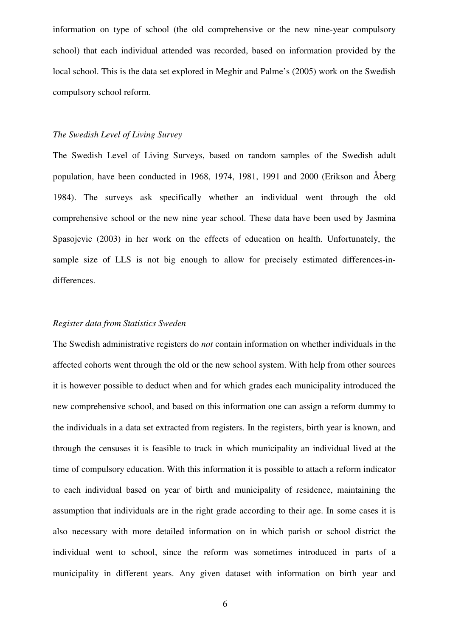information on type of school (the old comprehensive or the new nine-year compulsory school) that each individual attended was recorded, based on information provided by the local school. This is the data set explored in Meghir and Palme's (2005) work on the Swedish compulsory school reform.

#### *The Swedish Level of Living Survey*

The Swedish Level of Living Surveys, based on random samples of the Swedish adult population, have been conducted in 1968, 1974, 1981, 1991 and 2000 (Erikson and Åberg 1984). The surveys ask specifically whether an individual went through the old comprehensive school or the new nine year school. These data have been used by Jasmina Spasojevic (2003) in her work on the effects of education on health. Unfortunately, the sample size of LLS is not big enough to allow for precisely estimated differences-indifferences.

#### *Register data from Statistics Sweden*

The Swedish administrative registers do *not* contain information on whether individuals in the affected cohorts went through the old or the new school system. With help from other sources it is however possible to deduct when and for which grades each municipality introduced the new comprehensive school, and based on this information one can assign a reform dummy to the individuals in a data set extracted from registers. In the registers, birth year is known, and through the censuses it is feasible to track in which municipality an individual lived at the time of compulsory education. With this information it is possible to attach a reform indicator to each individual based on year of birth and municipality of residence, maintaining the assumption that individuals are in the right grade according to their age. In some cases it is also necessary with more detailed information on in which parish or school district the individual went to school, since the reform was sometimes introduced in parts of a municipality in different years. Any given dataset with information on birth year and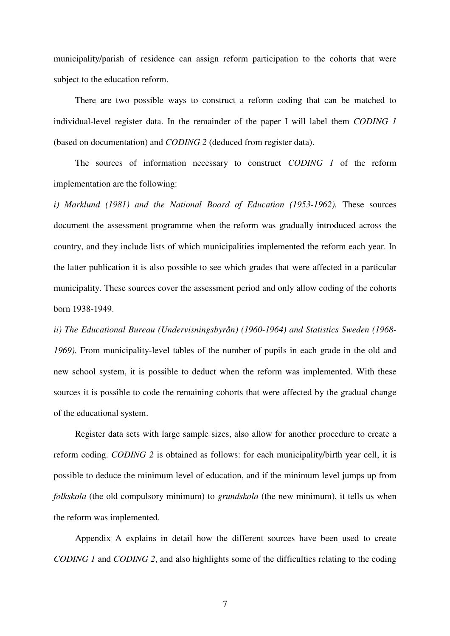municipality/parish of residence can assign reform participation to the cohorts that were subject to the education reform.

 There are two possible ways to construct a reform coding that can be matched to individual-level register data. In the remainder of the paper I will label them *CODING 1* (based on documentation) and *CODING 2* (deduced from register data).

The sources of information necessary to construct *CODING 1* of the reform implementation are the following:

*i) Marklund (1981) and the National Board of Education (1953-1962).* These sources document the assessment programme when the reform was gradually introduced across the country, and they include lists of which municipalities implemented the reform each year. In the latter publication it is also possible to see which grades that were affected in a particular municipality. These sources cover the assessment period and only allow coding of the cohorts born 1938-1949.

*ii) The Educational Bureau (Undervisningsbyrån) (1960-1964) and Statistics Sweden (1968- 1969).* From municipality-level tables of the number of pupils in each grade in the old and new school system, it is possible to deduct when the reform was implemented. With these sources it is possible to code the remaining cohorts that were affected by the gradual change of the educational system.

Register data sets with large sample sizes, also allow for another procedure to create a reform coding. *CODING 2* is obtained as follows: for each municipality/birth year cell, it is possible to deduce the minimum level of education, and if the minimum level jumps up from *folkskola* (the old compulsory minimum) to *grundskola* (the new minimum), it tells us when the reform was implemented.

Appendix A explains in detail how the different sources have been used to create *CODING 1* and *CODING 2*, and also highlights some of the difficulties relating to the coding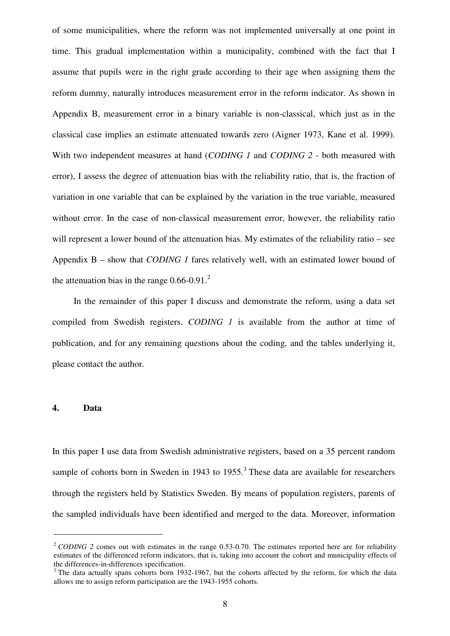of some municipalities, where the reform was not implemented universally at one point in time. This gradual implementation within a municipality, combined with the fact that I assume that pupils were in the right grade according to their age when assigning them the reform dummy, naturally introduces measurement error in the reform indicator. As shown in Appendix B, measurement error in a binary variable is non-classical, which just as in the classical case implies an estimate attenuated towards zero (Aigner 1973, Kane et al. 1999). With two independent measures at hand (*CODING 1* and *CODING 2* - both measured with error), I assess the degree of attenuation bias with the reliability ratio, that is, the fraction of variation in one variable that can be explained by the variation in the true variable, measured without error. In the case of non-classical measurement error, however, the reliability ratio will represent a lower bound of the attenuation bias. My estimates of the reliability ratio – see Appendix B – show that *CODING 1* fares relatively well, with an estimated lower bound of the attenuation bias in the range  $0.66$ - $0.91<sup>2</sup>$ 

In the remainder of this paper I discuss and demonstrate the reform, using a data set compiled from Swedish registers. *CODING 1* is available from the author at time of publication, and for any remaining questions about the coding, and the tables underlying it, please contact the author.

#### **4. Data**

 $\overline{a}$ 

In this paper I use data from Swedish administrative registers, based on a 35 percent random sample of cohorts born in Sweden in 1943 to  $1955$ <sup>3</sup>. These data are available for researchers through the registers held by Statistics Sweden. By means of population registers, parents of the sampled individuals have been identified and merged to the data. Moreover, information

<sup>&</sup>lt;sup>2</sup> *CODING* 2 comes out with estimates in the range 0.53-0.70. The estimates reported here are for reliability estimates of the differenced reform indicators, that is, taking into account the cohort and municipality effects of the differences-in-differences specification.

<sup>&</sup>lt;sup>3</sup> The data actually spans cohorts born 1932-1967, but the cohorts affected by the reform, for which the data allows me to assign reform participation are the 1943-1955 cohorts.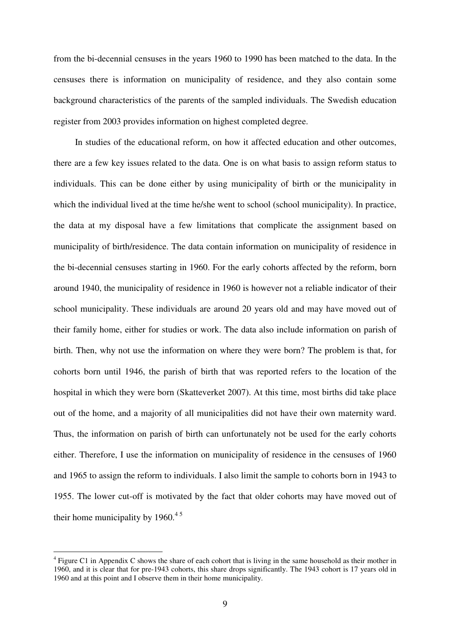from the bi-decennial censuses in the years 1960 to 1990 has been matched to the data. In the censuses there is information on municipality of residence, and they also contain some background characteristics of the parents of the sampled individuals. The Swedish education register from 2003 provides information on highest completed degree.

In studies of the educational reform, on how it affected education and other outcomes, there are a few key issues related to the data. One is on what basis to assign reform status to individuals. This can be done either by using municipality of birth or the municipality in which the individual lived at the time he/she went to school (school municipality). In practice, the data at my disposal have a few limitations that complicate the assignment based on municipality of birth/residence. The data contain information on municipality of residence in the bi-decennial censuses starting in 1960. For the early cohorts affected by the reform, born around 1940, the municipality of residence in 1960 is however not a reliable indicator of their school municipality. These individuals are around 20 years old and may have moved out of their family home, either for studies or work. The data also include information on parish of birth. Then, why not use the information on where they were born? The problem is that, for cohorts born until 1946, the parish of birth that was reported refers to the location of the hospital in which they were born (Skatteverket 2007). At this time, most births did take place out of the home, and a majority of all municipalities did not have their own maternity ward. Thus, the information on parish of birth can unfortunately not be used for the early cohorts either. Therefore, I use the information on municipality of residence in the censuses of 1960 and 1965 to assign the reform to individuals. I also limit the sample to cohorts born in 1943 to 1955. The lower cut-off is motivated by the fact that older cohorts may have moved out of their home municipality by  $1960.<sup>45</sup>$ 

 $\overline{a}$ 

 $4$  Figure C1 in Appendix C shows the share of each cohort that is living in the same household as their mother in 1960, and it is clear that for pre-1943 cohorts, this share drops significantly. The 1943 cohort is 17 years old in 1960 and at this point and I observe them in their home municipality.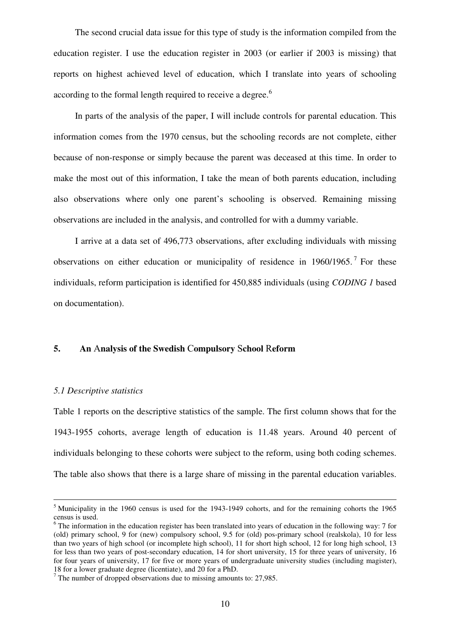The second crucial data issue for this type of study is the information compiled from the education register. I use the education register in 2003 (or earlier if 2003 is missing) that reports on highest achieved level of education, which I translate into years of schooling according to the formal length required to receive a degree.<sup>6</sup>

In parts of the analysis of the paper, I will include controls for parental education. This information comes from the 1970 census, but the schooling records are not complete, either because of non-response or simply because the parent was deceased at this time. In order to make the most out of this information, I take the mean of both parents education, including also observations where only one parent's schooling is observed. Remaining missing observations are included in the analysis, and controlled for with a dummy variable.

I arrive at a data set of 496,773 observations, after excluding individuals with missing observations on either education or municipality of residence in  $1960/1965$ .<sup>7</sup> For these individuals, reform participation is identified for 450,885 individuals (using *CODING 1* based on documentation).

#### **5. An** A**nalysis of the Swedish** C**ompulsory** S**chool** R**eform**

#### *5.1 Descriptive statistics*

l.

Table 1 reports on the descriptive statistics of the sample. The first column shows that for the 1943-1955 cohorts, average length of education is 11.48 years. Around 40 percent of individuals belonging to these cohorts were subject to the reform, using both coding schemes. The table also shows that there is a large share of missing in the parental education variables.

<sup>&</sup>lt;sup>5</sup> Municipality in the 1960 census is used for the 1943-1949 cohorts, and for the remaining cohorts the 1965 census is used.

 $6$  The information in the education register has been translated into years of education in the following way: 7 for (old) primary school, 9 for (new) compulsory school, 9.5 for (old) pos-primary school (realskola), 10 for less than two years of high school (or incomplete high school), 11 for short high school, 12 for long high school, 13 for less than two years of post-secondary education, 14 for short university, 15 for three years of university, 16 for four years of university, 17 for five or more years of undergraduate university studies (including magister), 18 for a lower graduate degree (licentiate), and 20 for a PhD.

 $7$  The number of dropped observations due to missing amounts to: 27,985.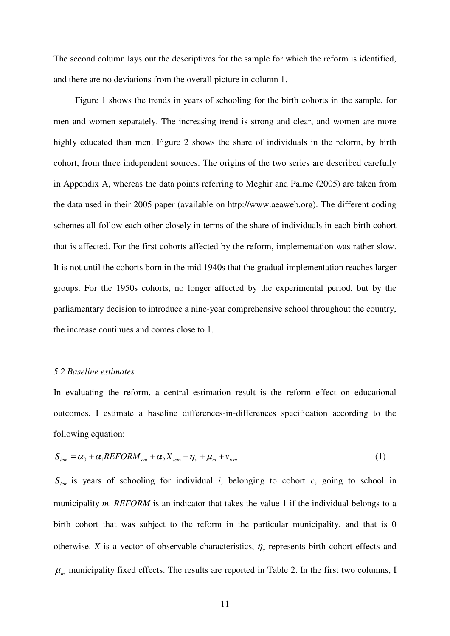The second column lays out the descriptives for the sample for which the reform is identified, and there are no deviations from the overall picture in column 1.

Figure 1 shows the trends in years of schooling for the birth cohorts in the sample, for men and women separately. The increasing trend is strong and clear, and women are more highly educated than men. Figure 2 shows the share of individuals in the reform, by birth cohort, from three independent sources. The origins of the two series are described carefully in Appendix A, whereas the data points referring to Meghir and Palme (2005) are taken from the data used in their 2005 paper (available on http://www.aeaweb.org). The different coding schemes all follow each other closely in terms of the share of individuals in each birth cohort that is affected. For the first cohorts affected by the reform, implementation was rather slow. It is not until the cohorts born in the mid 1940s that the gradual implementation reaches larger groups. For the 1950s cohorts, no longer affected by the experimental period, but by the parliamentary decision to introduce a nine-year comprehensive school throughout the country, the increase continues and comes close to 1.

#### *5.2 Baseline estimates*

In evaluating the reform, a central estimation result is the reform effect on educational outcomes. I estimate a baseline differences-in-differences specification according to the following equation:

$$
S_{icm} = \alpha_0 + \alpha_1 REFORM_{cm} + \alpha_2 X_{icm} + \eta_c + \mu_m + \nu_{icm}
$$
 (1)

 $S_{icm}$  is years of schooling for individual *i*, belonging to cohort *c*, going to school in municipality *m*. *REFORM* is an indicator that takes the value 1 if the individual belongs to a birth cohort that was subject to the reform in the particular municipality, and that is 0 otherwise. *X* is a vector of observable characteristics,  $\eta_c$  represents birth cohort effects and  $\mu_m$  municipality fixed effects. The results are reported in Table 2. In the first two columns, I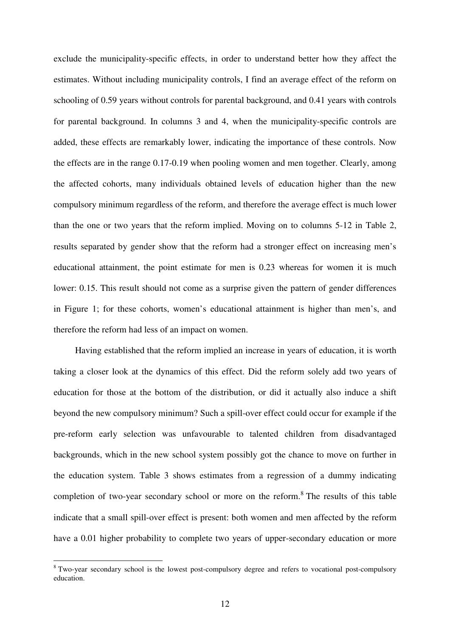exclude the municipality-specific effects, in order to understand better how they affect the estimates. Without including municipality controls, I find an average effect of the reform on schooling of 0.59 years without controls for parental background, and 0.41 years with controls for parental background. In columns 3 and 4, when the municipality-specific controls are added, these effects are remarkably lower, indicating the importance of these controls. Now the effects are in the range 0.17-0.19 when pooling women and men together. Clearly, among the affected cohorts, many individuals obtained levels of education higher than the new compulsory minimum regardless of the reform, and therefore the average effect is much lower than the one or two years that the reform implied. Moving on to columns 5-12 in Table 2, results separated by gender show that the reform had a stronger effect on increasing men's educational attainment, the point estimate for men is 0.23 whereas for women it is much lower: 0.15. This result should not come as a surprise given the pattern of gender differences in Figure 1; for these cohorts, women's educational attainment is higher than men's, and therefore the reform had less of an impact on women.

Having established that the reform implied an increase in years of education, it is worth taking a closer look at the dynamics of this effect. Did the reform solely add two years of education for those at the bottom of the distribution, or did it actually also induce a shift beyond the new compulsory minimum? Such a spill-over effect could occur for example if the pre-reform early selection was unfavourable to talented children from disadvantaged backgrounds, which in the new school system possibly got the chance to move on further in the education system. Table 3 shows estimates from a regression of a dummy indicating completion of two-year secondary school or more on the reform.<sup>8</sup> The results of this table indicate that a small spill-over effect is present: both women and men affected by the reform have a 0.01 higher probability to complete two years of upper-secondary education or more

<sup>&</sup>lt;sup>8</sup> Two-year secondary school is the lowest post-compulsory degree and refers to vocational post-compulsory education.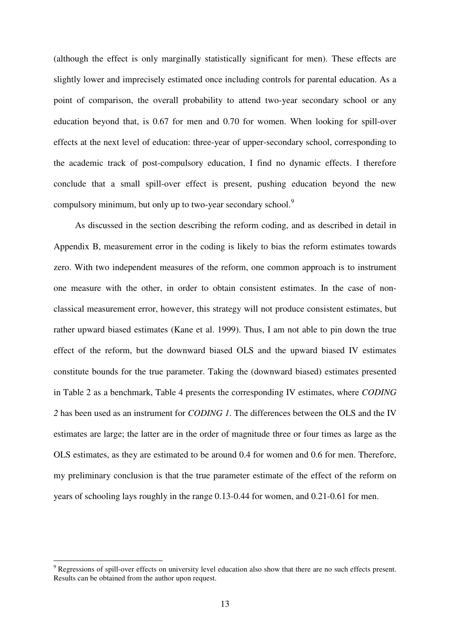(although the effect is only marginally statistically significant for men). These effects are slightly lower and imprecisely estimated once including controls for parental education. As a point of comparison, the overall probability to attend two-year secondary school or any education beyond that, is 0.67 for men and 0.70 for women. When looking for spill-over effects at the next level of education: three-year of upper-secondary school, corresponding to the academic track of post-compulsory education, I find no dynamic effects. I therefore conclude that a small spill-over effect is present, pushing education beyond the new compulsory minimum, but only up to two-year secondary school.<sup>9</sup>

 As discussed in the section describing the reform coding, and as described in detail in Appendix B, measurement error in the coding is likely to bias the reform estimates towards zero. With two independent measures of the reform, one common approach is to instrument one measure with the other, in order to obtain consistent estimates. In the case of nonclassical measurement error, however, this strategy will not produce consistent estimates, but rather upward biased estimates (Kane et al. 1999). Thus, I am not able to pin down the true effect of the reform, but the downward biased OLS and the upward biased IV estimates constitute bounds for the true parameter. Taking the (downward biased) estimates presented in Table 2 as a benchmark, Table 4 presents the corresponding IV estimates, where *CODING 2* has been used as an instrument for *CODING 1*. The differences between the OLS and the IV estimates are large; the latter are in the order of magnitude three or four times as large as the OLS estimates, as they are estimated to be around 0.4 for women and 0.6 for men. Therefore, my preliminary conclusion is that the true parameter estimate of the effect of the reform on years of schooling lays roughly in the range 0.13-0.44 for women, and 0.21-0.61 for men.

 $\overline{a}$ 

 $9$  Regressions of spill-over effects on university level education also show that there are no such effects present. Results can be obtained from the author upon request.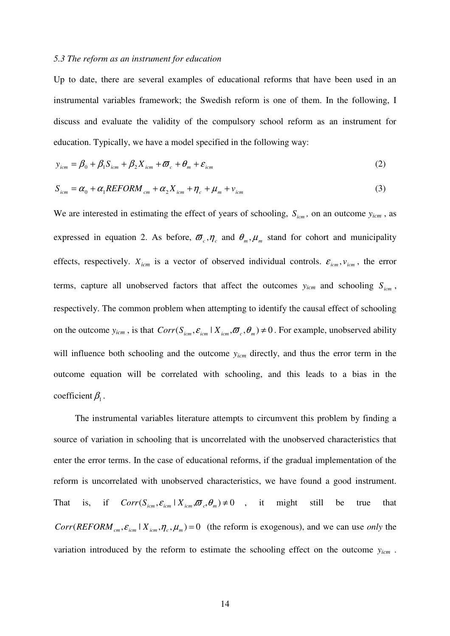#### *5.3 The reform as an instrument for education*

Up to date, there are several examples of educational reforms that have been used in an instrumental variables framework; the Swedish reform is one of them. In the following, I discuss and evaluate the validity of the compulsory school reform as an instrument for education. Typically, we have a model specified in the following way:

$$
y_{icm} = \beta_0 + \beta_1 S_{icm} + \beta_2 X_{icm} + \varpi_c + \theta_m + \varepsilon_{icm}
$$
 (2)

$$
S_{icm} = \alpha_0 + \alpha_1 REFORM_{cm} + \alpha_2 X_{icm} + \eta_c + \mu_m + \nu_{icm}
$$
\n(3)

We are interested in estimating the effect of years of schooling,  $S_{icm}$ , on an outcome  $y_{icm}$ , as expressed in equation 2. As before,  $\sigma_{c}$ ,  $\eta_{c}$  and  $\theta_{m}$ ,  $\mu_{m}$  stand for cohort and municipality effects, respectively.  $X_{icm}$  is a vector of observed individual controls.  $\varepsilon_{icm}$ ,  $v_{icm}$ , the error terms, capture all unobserved factors that affect the outcomes  $y_{icm}$  and schooling  $S_{icm}$ , respectively. The common problem when attempting to identify the causal effect of schooling on the outcome  $y_{icm}$ , is that  $Corr(S_{icm}, \mathcal{E}_{icm} | X_{icm}, \varpi, \varpi, \theta_m) \neq 0$ . For example, unobserved ability will influence both schooling and the outcome  $y_{icm}$  directly, and thus the error term in the outcome equation will be correlated with schooling, and this leads to a bias in the coefficient  $\beta_1$ .

 The instrumental variables literature attempts to circumvent this problem by finding a source of variation in schooling that is uncorrelated with the unobserved characteristics that enter the error terms. In the case of educational reforms, if the gradual implementation of the reform is uncorrelated with unobserved characteristics, we have found a good instrument. That is, if  $Corr(S_{icm}, \varepsilon_{icm} | X_{icm}, \varpi_{c}, \theta_{m}) \neq 0$ , it might still be true that  $Corr(REFORM_{cm}, \varepsilon_{icm} | X_{icm}, \eta_c, \mu_m) = 0$  (the reform is exogenous), and we can use *only* the variation introduced by the reform to estimate the schooling effect on the outcome *yicm* .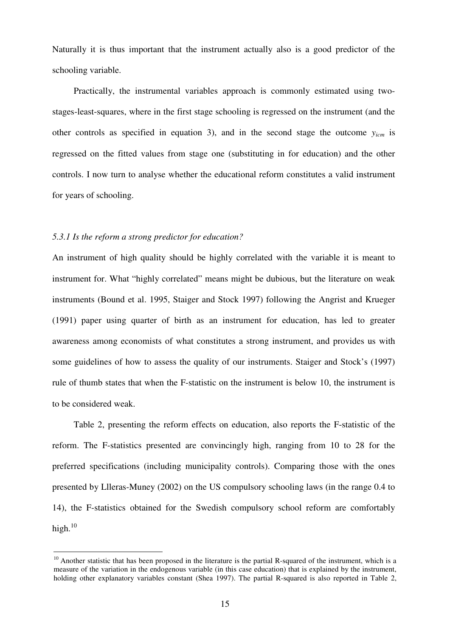Naturally it is thus important that the instrument actually also is a good predictor of the schooling variable.

Practically, the instrumental variables approach is commonly estimated using twostages-least-squares, where in the first stage schooling is regressed on the instrument (and the other controls as specified in equation 3), and in the second stage the outcome *yicm* is regressed on the fitted values from stage one (substituting in for education) and the other controls. I now turn to analyse whether the educational reform constitutes a valid instrument for years of schooling.

#### *5.3.1 Is the reform a strong predictor for education?*

An instrument of high quality should be highly correlated with the variable it is meant to instrument for. What "highly correlated" means might be dubious, but the literature on weak instruments (Bound et al. 1995, Staiger and Stock 1997) following the Angrist and Krueger (1991) paper using quarter of birth as an instrument for education, has led to greater awareness among economists of what constitutes a strong instrument, and provides us with some guidelines of how to assess the quality of our instruments. Staiger and Stock's (1997) rule of thumb states that when the F-statistic on the instrument is below 10, the instrument is to be considered weak.

Table 2, presenting the reform effects on education, also reports the F-statistic of the reform. The F-statistics presented are convincingly high, ranging from 10 to 28 for the preferred specifications (including municipality controls). Comparing those with the ones presented by Llleras-Muney (2002) on the US compulsory schooling laws (in the range 0.4 to 14), the F-statistics obtained for the Swedish compulsory school reform are comfortably high. $10$ 

<sup>&</sup>lt;sup>10</sup> Another statistic that has been proposed in the literature is the partial R-squared of the instrument, which is a measure of the variation in the endogenous variable (in this case education) that is explained by the instrument, holding other explanatory variables constant (Shea 1997). The partial R-squared is also reported in Table 2,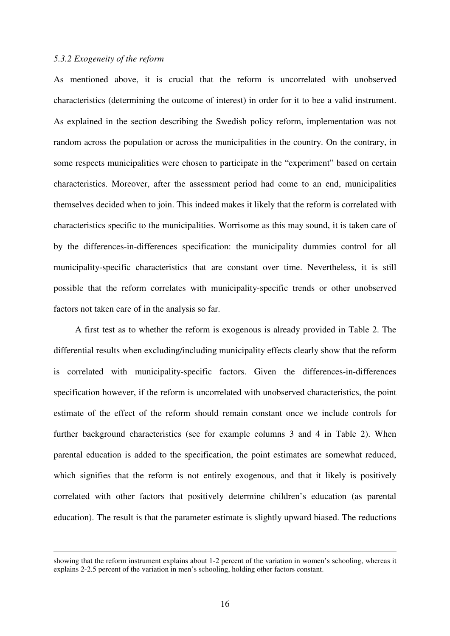#### *5.3.2 Exogeneity of the reform*

 $\overline{a}$ 

As mentioned above, it is crucial that the reform is uncorrelated with unobserved characteristics (determining the outcome of interest) in order for it to bee a valid instrument. As explained in the section describing the Swedish policy reform, implementation was not random across the population or across the municipalities in the country. On the contrary, in some respects municipalities were chosen to participate in the "experiment" based on certain characteristics. Moreover, after the assessment period had come to an end, municipalities themselves decided when to join. This indeed makes it likely that the reform is correlated with characteristics specific to the municipalities. Worrisome as this may sound, it is taken care of by the differences-in-differences specification: the municipality dummies control for all municipality-specific characteristics that are constant over time. Nevertheless, it is still possible that the reform correlates with municipality-specific trends or other unobserved factors not taken care of in the analysis so far.

 A first test as to whether the reform is exogenous is already provided in Table 2. The differential results when excluding/including municipality effects clearly show that the reform is correlated with municipality-specific factors. Given the differences-in-differences specification however, if the reform is uncorrelated with unobserved characteristics, the point estimate of the effect of the reform should remain constant once we include controls for further background characteristics (see for example columns 3 and 4 in Table 2). When parental education is added to the specification, the point estimates are somewhat reduced, which signifies that the reform is not entirely exogenous, and that it likely is positively correlated with other factors that positively determine children's education (as parental education). The result is that the parameter estimate is slightly upward biased. The reductions

showing that the reform instrument explains about 1-2 percent of the variation in women's schooling, whereas it explains 2-2.5 percent of the variation in men's schooling, holding other factors constant.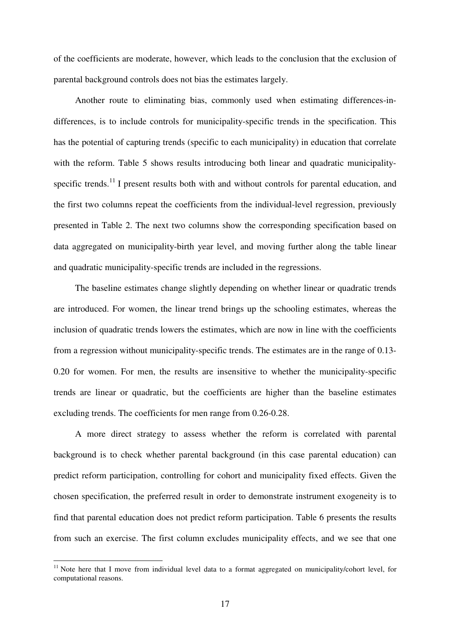of the coefficients are moderate, however, which leads to the conclusion that the exclusion of parental background controls does not bias the estimates largely.

 Another route to eliminating bias, commonly used when estimating differences-indifferences, is to include controls for municipality-specific trends in the specification. This has the potential of capturing trends (specific to each municipality) in education that correlate with the reform. Table 5 shows results introducing both linear and quadratic municipalityspecific trends.<sup>11</sup> I present results both with and without controls for parental education, and the first two columns repeat the coefficients from the individual-level regression, previously presented in Table 2. The next two columns show the corresponding specification based on data aggregated on municipality-birth year level, and moving further along the table linear and quadratic municipality-specific trends are included in the regressions.

The baseline estimates change slightly depending on whether linear or quadratic trends are introduced. For women, the linear trend brings up the schooling estimates, whereas the inclusion of quadratic trends lowers the estimates, which are now in line with the coefficients from a regression without municipality-specific trends. The estimates are in the range of 0.13- 0.20 for women. For men, the results are insensitive to whether the municipality-specific trends are linear or quadratic, but the coefficients are higher than the baseline estimates excluding trends. The coefficients for men range from 0.26-0.28.

A more direct strategy to assess whether the reform is correlated with parental background is to check whether parental background (in this case parental education) can predict reform participation, controlling for cohort and municipality fixed effects. Given the chosen specification, the preferred result in order to demonstrate instrument exogeneity is to find that parental education does not predict reform participation. Table 6 presents the results from such an exercise. The first column excludes municipality effects, and we see that one

 $\overline{a}$ 

<sup>&</sup>lt;sup>11</sup> Note here that I move from individual level data to a format aggregated on municipality/cohort level, for computational reasons.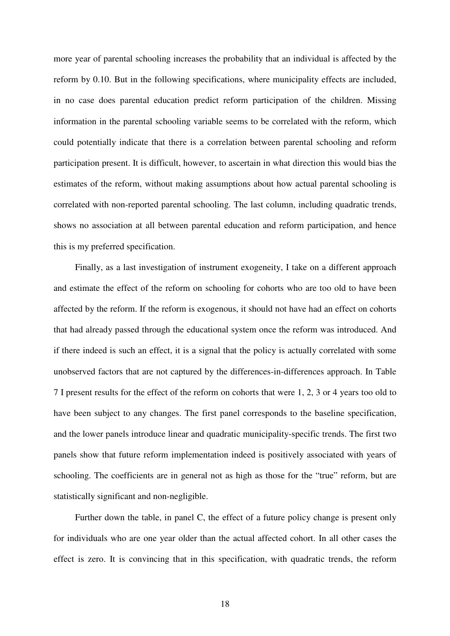more year of parental schooling increases the probability that an individual is affected by the reform by 0.10. But in the following specifications, where municipality effects are included, in no case does parental education predict reform participation of the children. Missing information in the parental schooling variable seems to be correlated with the reform, which could potentially indicate that there is a correlation between parental schooling and reform participation present. It is difficult, however, to ascertain in what direction this would bias the estimates of the reform, without making assumptions about how actual parental schooling is correlated with non-reported parental schooling. The last column, including quadratic trends, shows no association at all between parental education and reform participation, and hence this is my preferred specification.

 Finally, as a last investigation of instrument exogeneity, I take on a different approach and estimate the effect of the reform on schooling for cohorts who are too old to have been affected by the reform. If the reform is exogenous, it should not have had an effect on cohorts that had already passed through the educational system once the reform was introduced. And if there indeed is such an effect, it is a signal that the policy is actually correlated with some unobserved factors that are not captured by the differences-in-differences approach. In Table 7 I present results for the effect of the reform on cohorts that were 1, 2, 3 or 4 years too old to have been subject to any changes. The first panel corresponds to the baseline specification, and the lower panels introduce linear and quadratic municipality-specific trends. The first two panels show that future reform implementation indeed is positively associated with years of schooling. The coefficients are in general not as high as those for the "true" reform, but are statistically significant and non-negligible.

Further down the table, in panel C, the effect of a future policy change is present only for individuals who are one year older than the actual affected cohort. In all other cases the effect is zero. It is convincing that in this specification, with quadratic trends, the reform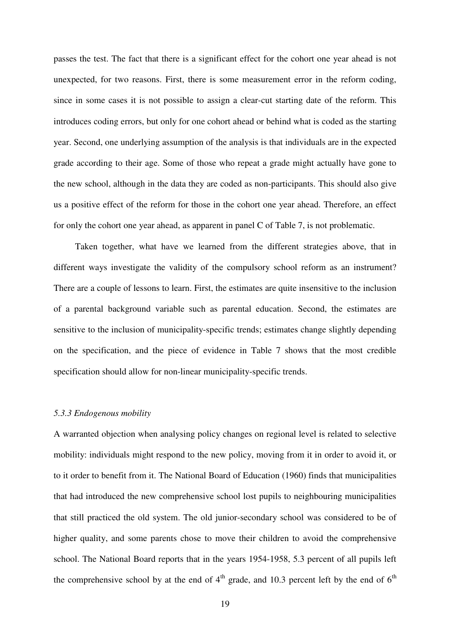passes the test. The fact that there is a significant effect for the cohort one year ahead is not unexpected, for two reasons. First, there is some measurement error in the reform coding, since in some cases it is not possible to assign a clear-cut starting date of the reform. This introduces coding errors, but only for one cohort ahead or behind what is coded as the starting year. Second, one underlying assumption of the analysis is that individuals are in the expected grade according to their age. Some of those who repeat a grade might actually have gone to the new school, although in the data they are coded as non-participants. This should also give us a positive effect of the reform for those in the cohort one year ahead. Therefore, an effect for only the cohort one year ahead, as apparent in panel C of Table 7, is not problematic.

Taken together, what have we learned from the different strategies above, that in different ways investigate the validity of the compulsory school reform as an instrument? There are a couple of lessons to learn. First, the estimates are quite insensitive to the inclusion of a parental background variable such as parental education. Second, the estimates are sensitive to the inclusion of municipality-specific trends; estimates change slightly depending on the specification, and the piece of evidence in Table 7 shows that the most credible specification should allow for non-linear municipality-specific trends.

#### *5.3.3 Endogenous mobility*

A warranted objection when analysing policy changes on regional level is related to selective mobility: individuals might respond to the new policy, moving from it in order to avoid it, or to it order to benefit from it. The National Board of Education (1960) finds that municipalities that had introduced the new comprehensive school lost pupils to neighbouring municipalities that still practiced the old system. The old junior-secondary school was considered to be of higher quality, and some parents chose to move their children to avoid the comprehensive school. The National Board reports that in the years 1954-1958, 5.3 percent of all pupils left the comprehensive school by at the end of  $4<sup>th</sup>$  grade, and 10.3 percent left by the end of  $6<sup>th</sup>$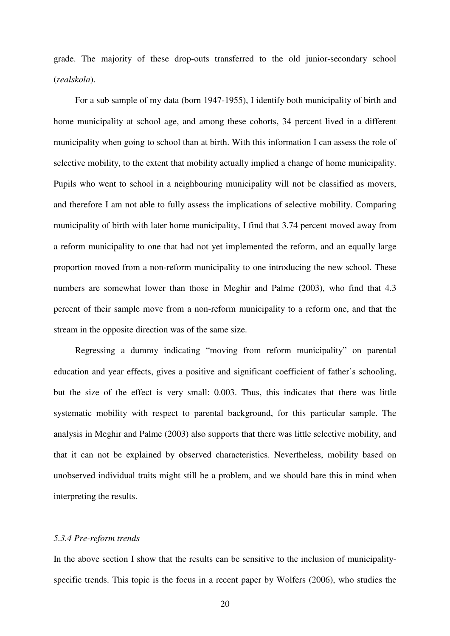grade. The majority of these drop-outs transferred to the old junior-secondary school (*realskola*).

 For a sub sample of my data (born 1947-1955), I identify both municipality of birth and home municipality at school age, and among these cohorts, 34 percent lived in a different municipality when going to school than at birth. With this information I can assess the role of selective mobility, to the extent that mobility actually implied a change of home municipality. Pupils who went to school in a neighbouring municipality will not be classified as movers, and therefore I am not able to fully assess the implications of selective mobility. Comparing municipality of birth with later home municipality, I find that 3.74 percent moved away from a reform municipality to one that had not yet implemented the reform, and an equally large proportion moved from a non-reform municipality to one introducing the new school. These numbers are somewhat lower than those in Meghir and Palme (2003), who find that 4.3 percent of their sample move from a non-reform municipality to a reform one, and that the stream in the opposite direction was of the same size.

Regressing a dummy indicating "moving from reform municipality" on parental education and year effects, gives a positive and significant coefficient of father's schooling, but the size of the effect is very small: 0.003. Thus, this indicates that there was little systematic mobility with respect to parental background, for this particular sample. The analysis in Meghir and Palme (2003) also supports that there was little selective mobility, and that it can not be explained by observed characteristics. Nevertheless, mobility based on unobserved individual traits might still be a problem, and we should bare this in mind when interpreting the results.

#### *5.3.4 Pre-reform trends*

In the above section I show that the results can be sensitive to the inclusion of municipalityspecific trends. This topic is the focus in a recent paper by Wolfers (2006), who studies the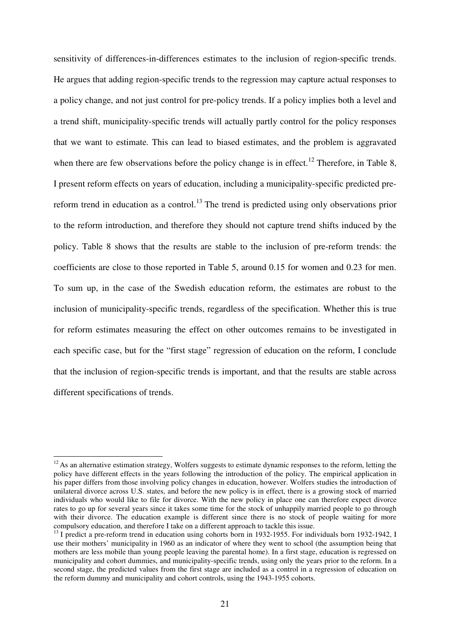sensitivity of differences-in-differences estimates to the inclusion of region-specific trends. He argues that adding region-specific trends to the regression may capture actual responses to a policy change, and not just control for pre-policy trends. If a policy implies both a level and a trend shift, municipality-specific trends will actually partly control for the policy responses that we want to estimate. This can lead to biased estimates, and the problem is aggravated when there are few observations before the policy change is in effect.<sup>12</sup> Therefore, in Table 8, I present reform effects on years of education, including a municipality-specific predicted prereform trend in education as a control.<sup>13</sup> The trend is predicted using only observations prior to the reform introduction, and therefore they should not capture trend shifts induced by the policy. Table 8 shows that the results are stable to the inclusion of pre-reform trends: the coefficients are close to those reported in Table 5, around 0.15 for women and 0.23 for men. To sum up, in the case of the Swedish education reform, the estimates are robust to the inclusion of municipality-specific trends, regardless of the specification. Whether this is true for reform estimates measuring the effect on other outcomes remains to be investigated in each specific case, but for the "first stage" regression of education on the reform, I conclude that the inclusion of region-specific trends is important, and that the results are stable across different specifications of trends.

 $\overline{a}$ 

 $12$ As an alternative estimation strategy, Wolfers suggests to estimate dynamic responses to the reform, letting the policy have different effects in the years following the introduction of the policy. The empirical application in his paper differs from those involving policy changes in education, however. Wolfers studies the introduction of unilateral divorce across U.S. states, and before the new policy is in effect, there is a growing stock of married individuals who would like to file for divorce. With the new policy in place one can therefore expect divorce rates to go up for several years since it takes some time for the stock of unhappily married people to go through with their divorce. The education example is different since there is no stock of people waiting for more compulsory education, and therefore I take on a different approach to tackle this issue.

<sup>&</sup>lt;sup>13</sup> I predict a pre-reform trend in education using cohorts born in 1932-1955. For individuals born 1932-1942, I use their mothers' municipality in 1960 as an indicator of where they went to school (the assumption being that mothers are less mobile than young people leaving the parental home). In a first stage, education is regressed on municipality and cohort dummies, and municipality-specific trends, using only the years prior to the reform. In a second stage, the predicted values from the first stage are included as a control in a regression of education on the reform dummy and municipality and cohort controls, using the 1943-1955 cohorts.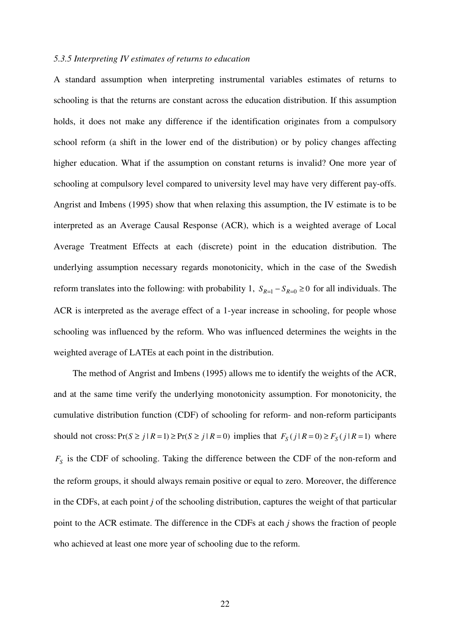#### *5.3.5 Interpreting IV estimates of returns to education*

A standard assumption when interpreting instrumental variables estimates of returns to schooling is that the returns are constant across the education distribution. If this assumption holds, it does not make any difference if the identification originates from a compulsory school reform (a shift in the lower end of the distribution) or by policy changes affecting higher education. What if the assumption on constant returns is invalid? One more year of schooling at compulsory level compared to university level may have very different pay-offs. Angrist and Imbens (1995) show that when relaxing this assumption, the IV estimate is to be interpreted as an Average Causal Response (ACR), which is a weighted average of Local Average Treatment Effects at each (discrete) point in the education distribution. The underlying assumption necessary regards monotonicity, which in the case of the Swedish reform translates into the following: with probability 1,  $S_{R=1} - S_{R=0} \ge 0$  for all individuals. The ACR is interpreted as the average effect of a 1-year increase in schooling, for people whose schooling was influenced by the reform. Who was influenced determines the weights in the weighted average of LATEs at each point in the distribution.

 The method of Angrist and Imbens (1995) allows me to identify the weights of the ACR, and at the same time verify the underlying monotonicity assumption. For monotonicity, the cumulative distribution function (CDF) of schooling for reform- and non-reform participants should not cross:  $Pr(S \ge j | R = 1) \ge Pr(S \ge j | R = 0)$  implies that  $F_S(j | R = 0) \ge F_S(j | R = 1)$  where *FS* is the CDF of schooling. Taking the difference between the CDF of the non-reform and the reform groups, it should always remain positive or equal to zero. Moreover, the difference in the CDFs, at each point *j* of the schooling distribution, captures the weight of that particular point to the ACR estimate. The difference in the CDFs at each *j* shows the fraction of people who achieved at least one more year of schooling due to the reform.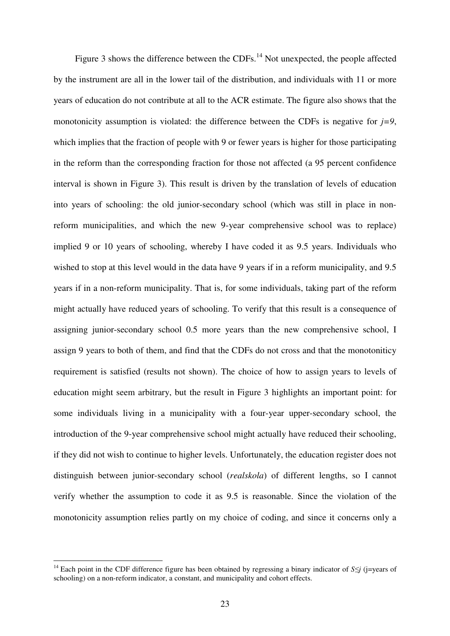Figure 3 shows the difference between the CDFs.<sup>14</sup> Not unexpected, the people affected by the instrument are all in the lower tail of the distribution, and individuals with 11 or more years of education do not contribute at all to the ACR estimate. The figure also shows that the monotonicity assumption is violated: the difference between the CDFs is negative for  $j=9$ , which implies that the fraction of people with 9 or fewer years is higher for those participating in the reform than the corresponding fraction for those not affected (a 95 percent confidence interval is shown in Figure 3). This result is driven by the translation of levels of education into years of schooling: the old junior-secondary school (which was still in place in nonreform municipalities, and which the new 9-year comprehensive school was to replace) implied 9 or 10 years of schooling, whereby I have coded it as 9.5 years. Individuals who wished to stop at this level would in the data have 9 years if in a reform municipality, and 9.5 years if in a non-reform municipality. That is, for some individuals, taking part of the reform might actually have reduced years of schooling. To verify that this result is a consequence of assigning junior-secondary school 0.5 more years than the new comprehensive school, I assign 9 years to both of them, and find that the CDFs do not cross and that the monotoniticy requirement is satisfied (results not shown). The choice of how to assign years to levels of education might seem arbitrary, but the result in Figure 3 highlights an important point: for some individuals living in a municipality with a four-year upper-secondary school, the introduction of the 9-year comprehensive school might actually have reduced their schooling, if they did not wish to continue to higher levels. Unfortunately, the education register does not distinguish between junior-secondary school (*realskola*) of different lengths, so I cannot verify whether the assumption to code it as 9.5 is reasonable. Since the violation of the monotonicity assumption relies partly on my choice of coding, and since it concerns only a

 $\overline{a}$ 

<sup>14</sup> Each point in the CDF difference figure has been obtained by regressing a binary indicator of *S*≤*j* (j=years of schooling) on a non-reform indicator, a constant, and municipality and cohort effects.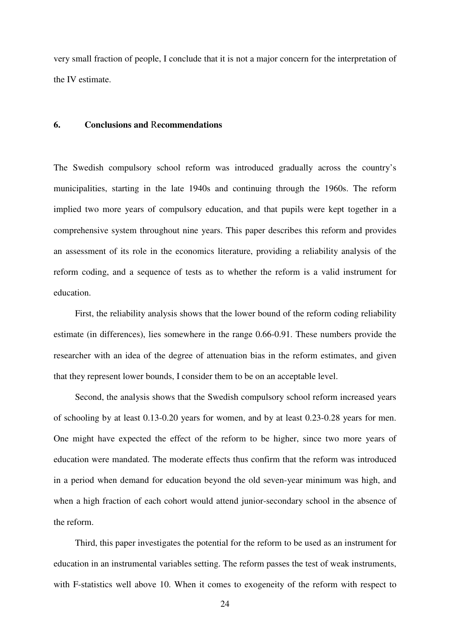very small fraction of people, I conclude that it is not a major concern for the interpretation of the IV estimate.

#### **6. Conclusions and** R**ecommendations**

The Swedish compulsory school reform was introduced gradually across the country's municipalities, starting in the late 1940s and continuing through the 1960s. The reform implied two more years of compulsory education, and that pupils were kept together in a comprehensive system throughout nine years. This paper describes this reform and provides an assessment of its role in the economics literature, providing a reliability analysis of the reform coding, and a sequence of tests as to whether the reform is a valid instrument for education.

 First, the reliability analysis shows that the lower bound of the reform coding reliability estimate (in differences), lies somewhere in the range 0.66-0.91. These numbers provide the researcher with an idea of the degree of attenuation bias in the reform estimates, and given that they represent lower bounds, I consider them to be on an acceptable level.

 Second, the analysis shows that the Swedish compulsory school reform increased years of schooling by at least 0.13-0.20 years for women, and by at least 0.23-0.28 years for men. One might have expected the effect of the reform to be higher, since two more years of education were mandated. The moderate effects thus confirm that the reform was introduced in a period when demand for education beyond the old seven-year minimum was high, and when a high fraction of each cohort would attend junior-secondary school in the absence of the reform.

 Third, this paper investigates the potential for the reform to be used as an instrument for education in an instrumental variables setting. The reform passes the test of weak instruments, with F-statistics well above 10. When it comes to exogeneity of the reform with respect to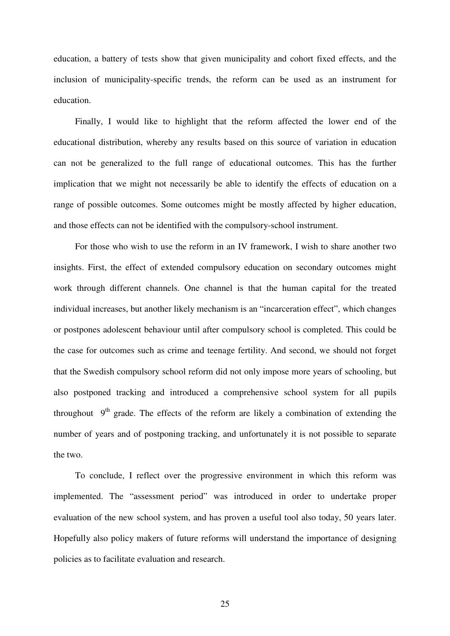education, a battery of tests show that given municipality and cohort fixed effects, and the inclusion of municipality-specific trends, the reform can be used as an instrument for education.

 Finally, I would like to highlight that the reform affected the lower end of the educational distribution, whereby any results based on this source of variation in education can not be generalized to the full range of educational outcomes. This has the further implication that we might not necessarily be able to identify the effects of education on a range of possible outcomes. Some outcomes might be mostly affected by higher education, and those effects can not be identified with the compulsory-school instrument.

For those who wish to use the reform in an IV framework, I wish to share another two insights. First, the effect of extended compulsory education on secondary outcomes might work through different channels. One channel is that the human capital for the treated individual increases, but another likely mechanism is an "incarceration effect", which changes or postpones adolescent behaviour until after compulsory school is completed. This could be the case for outcomes such as crime and teenage fertility. And second, we should not forget that the Swedish compulsory school reform did not only impose more years of schooling, but also postponed tracking and introduced a comprehensive school system for all pupils throughout  $9<sup>th</sup>$  grade. The effects of the reform are likely a combination of extending the number of years and of postponing tracking, and unfortunately it is not possible to separate the two.

 To conclude, I reflect over the progressive environment in which this reform was implemented. The "assessment period" was introduced in order to undertake proper evaluation of the new school system, and has proven a useful tool also today, 50 years later. Hopefully also policy makers of future reforms will understand the importance of designing policies as to facilitate evaluation and research.

25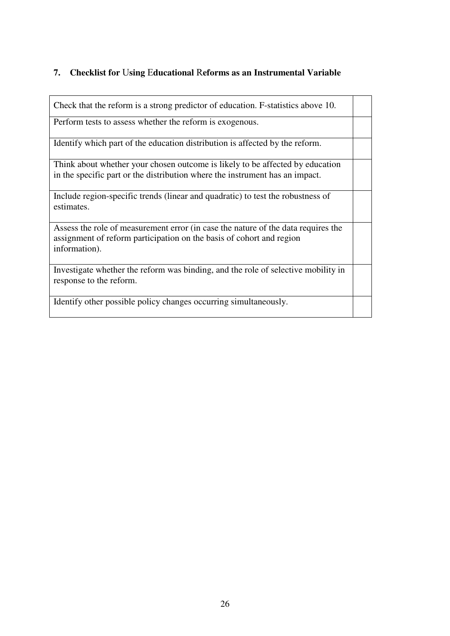# **7. Checklist for** U**sing** E**ducational** R**eforms as an Instrumental Variable**

| Check that the reform is a strong predictor of education. F-statistics above 10.                                                                                           |  |
|----------------------------------------------------------------------------------------------------------------------------------------------------------------------------|--|
| Perform tests to assess whether the reform is exogenous.                                                                                                                   |  |
| Identify which part of the education distribution is affected by the reform.                                                                                               |  |
| Think about whether your chosen outcome is likely to be affected by education<br>in the specific part or the distribution where the instrument has an impact.              |  |
| Include region-specific trends (linear and quadratic) to test the robustness of<br>estimates.                                                                              |  |
| Assess the role of measurement error (in case the nature of the data requires the<br>assignment of reform participation on the basis of cohort and region<br>information). |  |
| Investigate whether the reform was binding, and the role of selective mobility in<br>response to the reform.                                                               |  |
| Identify other possible policy changes occurring simultaneously.                                                                                                           |  |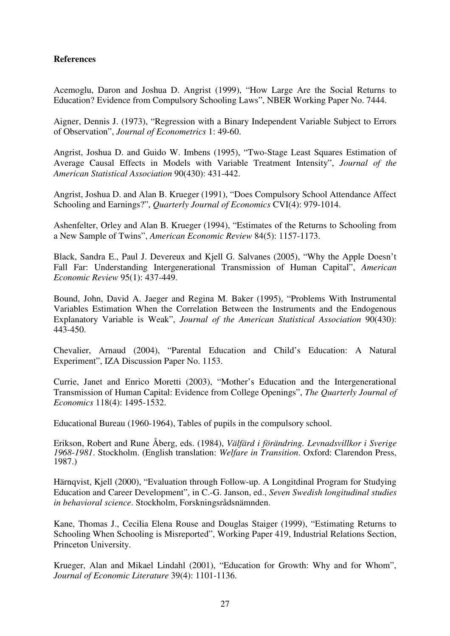## **References**

Acemoglu, Daron and Joshua D. Angrist (1999), "How Large Are the Social Returns to Education? Evidence from Compulsory Schooling Laws", NBER Working Paper No. 7444.

Aigner, Dennis J. (1973), "Regression with a Binary Independent Variable Subject to Errors of Observation", *Journal of Econometrics* 1: 49-60.

Angrist, Joshua D. and Guido W. Imbens (1995), "Two-Stage Least Squares Estimation of Average Causal Effects in Models with Variable Treatment Intensity", *Journal of the American Statistical Association* 90(430): 431-442.

Angrist, Joshua D. and Alan B. Krueger (1991), "Does Compulsory School Attendance Affect Schooling and Earnings?", *Quarterly Journal of Economics* CVI(4): 979-1014.

Ashenfelter, Orley and Alan B. Krueger (1994), "Estimates of the Returns to Schooling from a New Sample of Twins", *American Economic Review* 84(5): 1157-1173.

Black, Sandra E., Paul J. Devereux and Kjell G. Salvanes (2005), "Why the Apple Doesn't Fall Far: Understanding Intergenerational Transmission of Human Capital", *American Economic Review* 95(1): 437-449.

Bound, John, David A. Jaeger and Regina M. Baker (1995), "Problems With Instrumental Variables Estimation When the Correlation Between the Instruments and the Endogenous Explanatory Variable is Weak", *Journal of the American Statistical Association* 90(430): 443-450.

Chevalier, Arnaud (2004), "Parental Education and Child's Education: A Natural Experiment", IZA Discussion Paper No. 1153.

Currie, Janet and Enrico Moretti (2003), "Mother's Education and the Intergenerational Transmission of Human Capital: Evidence from College Openings", *The Quarterly Journal of Economics* 118(4): 1495-1532.

Educational Bureau (1960-1964), Tables of pupils in the compulsory school.

Erikson, Robert and Rune Åberg, eds. (1984), *Välfärd i förändring. Levnadsvillkor i Sverige 1968-1981*. Stockholm. (English translation: *Welfare in Transition*. Oxford: Clarendon Press, 1987.)

Härnqvist, Kjell (2000), "Evaluation through Follow-up. A Longitdinal Program for Studying Education and Career Development", in C.-G. Janson, ed., *Seven Swedish longitudinal studies in behavioral science*. Stockholm, Forskningsrådsnämnden.

Kane, Thomas J., Cecilia Elena Rouse and Douglas Staiger (1999), "Estimating Returns to Schooling When Schooling is Misreported", Working Paper 419, Industrial Relations Section, Princeton University.

Krueger, Alan and Mikael Lindahl (2001), "Education for Growth: Why and for Whom", *Journal of Economic Literature* 39(4): 1101-1136.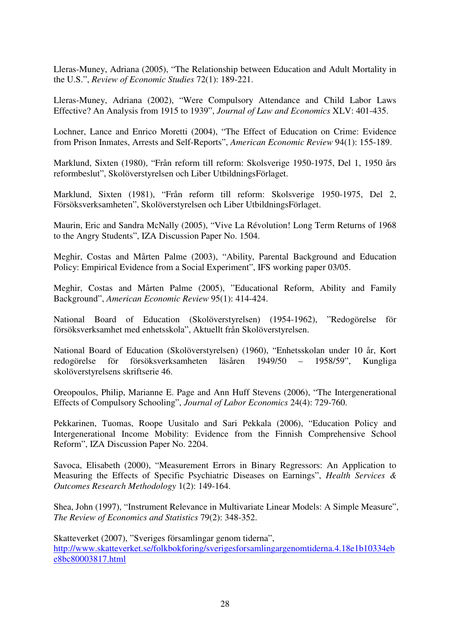Lleras-Muney, Adriana (2005), "The Relationship between Education and Adult Mortality in the U.S.", *Review of Economic Studies* 72(1): 189-221.

Lleras-Muney, Adriana (2002), "Were Compulsory Attendance and Child Labor Laws Effective? An Analysis from 1915 to 1939", *Journal of Law and Economics* XLV: 401-435.

Lochner, Lance and Enrico Moretti (2004), "The Effect of Education on Crime: Evidence from Prison Inmates, Arrests and Self-Reports", *American Economic Review* 94(1): 155-189.

Marklund, Sixten (1980), "Från reform till reform: Skolsverige 1950-1975, Del 1, 1950 års reformbeslut", Skolöverstyrelsen och Liber UtbildningsFörlaget.

Marklund, Sixten (1981), "Från reform till reform: Skolsverige 1950-1975, Del 2, Försöksverksamheten", Skolöverstyrelsen och Liber UtbildningsFörlaget.

Maurin, Eric and Sandra McNally (2005), "Vive La Révolution! Long Term Returns of 1968 to the Angry Students", IZA Discussion Paper No. 1504.

Meghir, Costas and Mårten Palme (2003), "Ability, Parental Background and Education Policy: Empirical Evidence from a Social Experiment", IFS working paper 03/05.

Meghir, Costas and Mårten Palme (2005), "Educational Reform, Ability and Family Background", *American Economic Review* 95(1): 414-424.

National Board of Education (Skolöverstyrelsen) (1954-1962), "Redogörelse för försöksverksamhet med enhetsskola", Aktuellt från Skolöverstyrelsen.

National Board of Education (Skolöverstyrelsen) (1960), "Enhetsskolan under 10 år, Kort redogörelse för försöksverksamheten läsåren 1949/50 – 1958/59", Kungliga skolöverstyrelsens skriftserie 46.

Oreopoulos, Philip, Marianne E. Page and Ann Huff Stevens (2006), "The Intergenerational Effects of Compulsory Schooling", *Journal of Labor Economics* 24(4): 729-760.

Pekkarinen, Tuomas, Roope Uusitalo and Sari Pekkala (2006), "Education Policy and Intergenerational Income Mobility: Evidence from the Finnish Comprehensive School Reform", IZA Discussion Paper No. 2204.

Savoca, Elisabeth (2000), "Measurement Errors in Binary Regressors: An Application to Measuring the Effects of Specific Psychiatric Diseases on Earnings", *Health Services & Outcomes Research Methodology* 1(2): 149-164.

Shea, John (1997), "Instrument Relevance in Multivariate Linear Models: A Simple Measure", *The Review of Economics and Statistics* 79(2): 348-352.

Skatteverket (2007), "Sveriges församlingar genom tiderna", http://www.skatteverket.se/folkbokforing/sverigesforsamlingargenomtiderna.4.18e1b10334eb e8bc80003817.html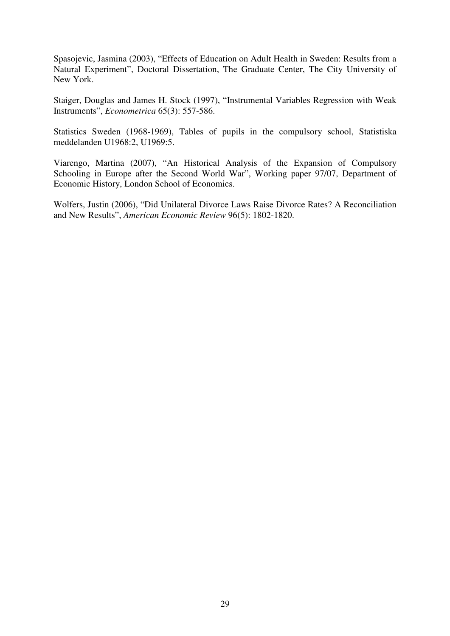Spasojevic, Jasmina (2003), "Effects of Education on Adult Health in Sweden: Results from a Natural Experiment", Doctoral Dissertation, The Graduate Center, The City University of New York.

Staiger, Douglas and James H. Stock (1997), "Instrumental Variables Regression with Weak Instruments", *Econometrica* 65(3): 557-586.

Statistics Sweden (1968-1969), Tables of pupils in the compulsory school, Statistiska meddelanden U1968:2, U1969:5.

Viarengo, Martina (2007), "An Historical Analysis of the Expansion of Compulsory Schooling in Europe after the Second World War", Working paper 97/07, Department of Economic History, London School of Economics.

Wolfers, Justin (2006), "Did Unilateral Divorce Laws Raise Divorce Rates? A Reconciliation and New Results", *American Economic Review* 96(5): 1802-1820.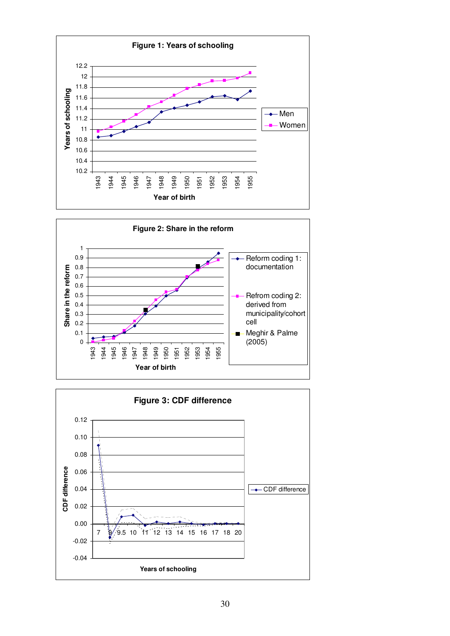



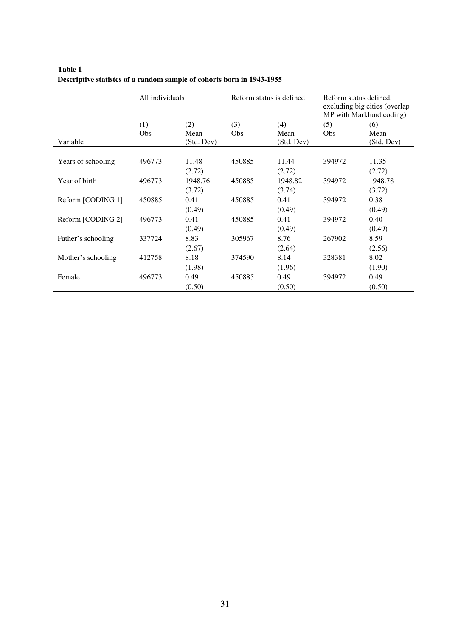|                    | All individuals |            |        | Reform status is defined | Reform status defined,<br>excluding big cities (overlap<br>MP with Marklund coding) |            |  |
|--------------------|-----------------|------------|--------|--------------------------|-------------------------------------------------------------------------------------|------------|--|
|                    | (1)             | (2)        | (3)    | (4)                      | (5)                                                                                 | (6)        |  |
|                    | <b>Obs</b>      | Mean       | Obs    | Mean                     | <b>Obs</b>                                                                          | Mean       |  |
| Variable           |                 | (Std. Dev) |        | (Std. Dev)               |                                                                                     | (Std. Dev) |  |
|                    |                 |            |        |                          |                                                                                     |            |  |
| Years of schooling | 496773          | 11.48      | 450885 | 11.44                    | 394972                                                                              | 11.35      |  |
|                    |                 | (2.72)     |        | (2.72)                   |                                                                                     | (2.72)     |  |
| Year of birth      | 496773          | 1948.76    | 450885 | 1948.82                  | 394972                                                                              | 1948.78    |  |
|                    |                 | (3.72)     |        | (3.74)                   |                                                                                     | (3.72)     |  |
| Reform [CODING 1]  | 450885          | 0.41       | 450885 | 0.41                     | 394972                                                                              | 0.38       |  |
|                    |                 | (0.49)     |        | (0.49)                   |                                                                                     | (0.49)     |  |
| Reform [CODING 2]  | 496773          | 0.41       | 450885 | 0.41                     | 394972                                                                              | 0.40       |  |
|                    |                 | (0.49)     |        | (0.49)                   |                                                                                     | (0.49)     |  |
| Father's schooling | 337724          | 8.83       | 305967 | 8.76                     | 267902                                                                              | 8.59       |  |
|                    |                 | (2.67)     |        | (2.64)                   |                                                                                     | (2.56)     |  |
| Mother's schooling | 412758          | 8.18       | 374590 | 8.14                     | 328381                                                                              | 8.02       |  |
|                    |                 | (1.98)     |        | (1.96)                   |                                                                                     | (1.90)     |  |
| Female             | 496773          | 0.49       | 450885 | 0.49                     | 394972                                                                              | 0.49       |  |
|                    |                 | (0.50)     |        | (0.50)                   |                                                                                     | (0.50)     |  |

# **Descriptive statistcs of a random sample of cohorts born in 1943-1955**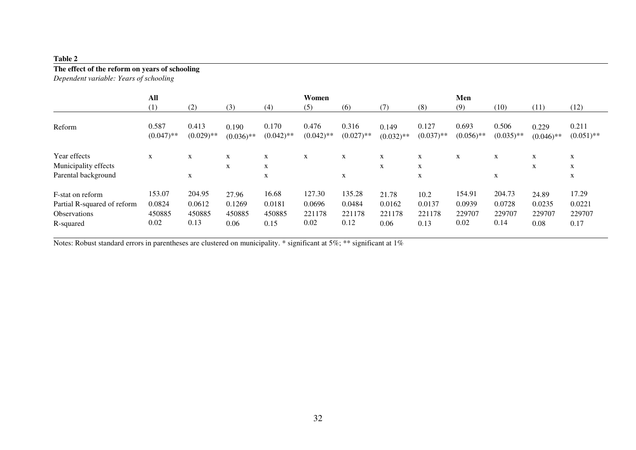# **The effect of the reform on years of schooling**

*Dependent variable: Years of schooling* 

|                                                                                     | All                                |                                    |                                   | Women                             |                                    |                                    |                                   | Men                              |                                    |                                    |                                   |                                   |
|-------------------------------------------------------------------------------------|------------------------------------|------------------------------------|-----------------------------------|-----------------------------------|------------------------------------|------------------------------------|-----------------------------------|----------------------------------|------------------------------------|------------------------------------|-----------------------------------|-----------------------------------|
|                                                                                     | (1)                                | (2)                                | (3)                               | (4)                               | (5)                                | (6)                                | (7)                               | (8)                              | (9)                                | (10)                               | (11)                              | (12)                              |
| Reform                                                                              | 0.587<br>$(0.047)$ **              | 0.413<br>$(0.029)$ **              | 0.190<br>$(0.036)$ **             | 0.170<br>$(0.042)$ **             | 0.476<br>$(0.042)$ **              | 0.316<br>$(0.027)$ **              | 0.149<br>$(0.032)$ **             | 0.127<br>$(0.037)$ **            | 0.693<br>$(0.056)$ **              | 0.506<br>$(0.035)$ **              | 0.229<br>$(0.046)$ **             | 0.211<br>$(0.051)$ **             |
| Year effects<br>Municipality effects<br>Parental background                         | X                                  | X<br>X                             | $\mathbf{X}$<br>$\mathbf{X}$      | X<br>X<br>X                       | X                                  | X<br>X                             | X<br>X                            | X<br>X<br>X                      | X                                  | X<br>X                             | X<br>X                            | X<br>X<br>X                       |
| F-stat on reform<br>Partial R-squared of reform<br><b>Observations</b><br>R-squared | 153.07<br>0.0824<br>450885<br>0.02 | 204.95<br>0.0612<br>450885<br>0.13 | 27.96<br>0.1269<br>450885<br>0.06 | 16.68<br>0.0181<br>450885<br>0.15 | 127.30<br>0.0696<br>221178<br>0.02 | 135.28<br>0.0484<br>221178<br>0.12 | 21.78<br>0.0162<br>221178<br>0.06 | 10.2<br>0.0137<br>221178<br>0.13 | 154.91<br>0.0939<br>229707<br>0.02 | 204.73<br>0.0728<br>229707<br>0.14 | 24.89<br>0.0235<br>229707<br>0.08 | 17.29<br>0.0221<br>229707<br>0.17 |

Notes: Robust standard errors in parentheses are clustered on municipality. \* significant at 5%; \*\* significant at 1%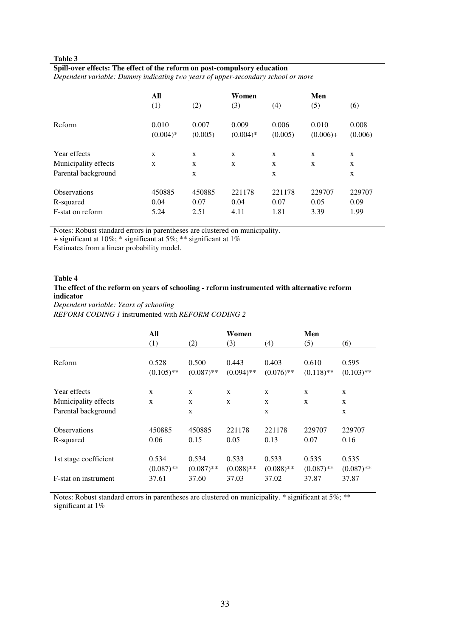l,

#### **Spill-over effects: The effect of the reform on post-compulsory education**

*Dependent variable: Dummy indicating two years of upper-secondary school or more* 

|                      | All        |         | Women       |         | Men        |         |
|----------------------|------------|---------|-------------|---------|------------|---------|
|                      | (1)        | (2)     | (3)         | (4)     | (5)        | (6)     |
| Reform               | 0.010      | 0.007   | 0.009       | 0.006   | 0.010      | 0.008   |
|                      | $(0.004)*$ | (0.005) | $(0.004)$ * | (0.005) | $(0.006)+$ | (0.006) |
| Year effects         | X          | X       | X           | X       | X          | X       |
| Municipality effects | X          | X       | X           | X       | X          | X       |
| Parental background  |            | X       |             | X       |            | X       |
| <b>Observations</b>  | 450885     | 450885  | 221178      | 221178  | 229707     | 229707  |
| R-squared            | 0.04       | 0.07    | 0.04        | 0.07    | 0.05       | 0.09    |
| F-stat on reform     | 5.24       | 2.51    | 4.11        | 1.81    | 3.39       | 1.99    |

Notes: Robust standard errors in parentheses are clustered on municipality.

+ significant at 10%; \* significant at 5%; \*\* significant at 1%

Estimates from a linear probability model.

#### **Table 4**

#### **The effect of the reform on years of schooling - reform instrumented with alternative reform indicator**

*Dependent variable: Years of schooling* 

*REFORM CODING 1* instrumented with *REFORM CODING 2*

|                       | All<br>(1)            | (2)                   | Women<br>(3)          | (4)                   | Men<br>(5)            | (6)                   |
|-----------------------|-----------------------|-----------------------|-----------------------|-----------------------|-----------------------|-----------------------|
|                       |                       |                       |                       |                       |                       |                       |
| Reform                | 0.528<br>$(0.105)$ ** | 0.500<br>$(0.087)$ ** | 0.443<br>$(0.094)$ ** | 0.403<br>$(0.076)$ ** | 0.610<br>$(0.118)$ ** | 0.595<br>$(0.103)$ ** |
| Year effects          | $\mathbf{x}$          | X                     | X                     | $\mathbf{x}$          | X                     | X                     |
| Municipality effects  | $\mathbf{x}$          | X                     | X                     | $\mathbf{x}$          | X                     | X                     |
| Parental background   |                       | X                     |                       | $\mathbf{x}$          |                       | $\mathbf{x}$          |
| <b>Observations</b>   | 450885                | 450885                | 221178                | 221178                | 229707                | 229707                |
| R-squared             | 0.06                  | 0.15                  | 0.05                  | 0.13                  | 0.07                  | 0.16                  |
| 1st stage coefficient | 0.534<br>$(0.087)$ ** | 0.534<br>$(0.087)$ ** | 0.533<br>$(0.088)$ ** | 0.533<br>$(0.088)$ ** | 0.535<br>$(0.087)$ ** | 0.535<br>$(0.087)$ ** |
| F-stat on instrument  | 37.61                 | 37.60                 | 37.03                 | 37.02                 | 37.87                 | 37.87                 |

Notes: Robust standard errors in parentheses are clustered on municipality. \* significant at 5%; \*\* significant at 1%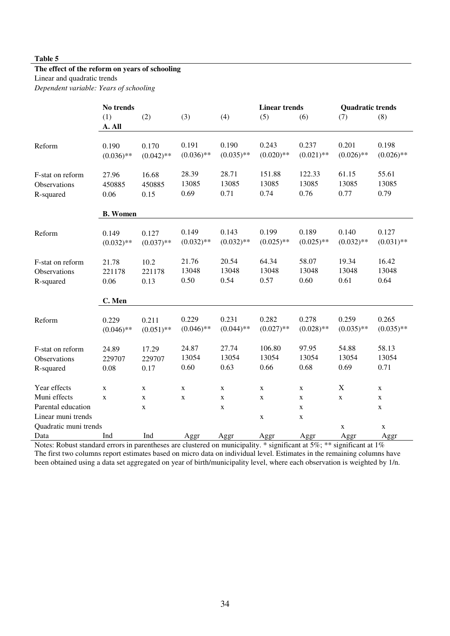#### **The effect of the reform on years of schooling**

Linear and quadratic trends

*Dependent variable: Years of schooling* 

|                                               | No trends               |                         |                        |                        | <b>Linear trends</b>    |                         | <b>Quadratic trends</b> |                        |  |
|-----------------------------------------------|-------------------------|-------------------------|------------------------|------------------------|-------------------------|-------------------------|-------------------------|------------------------|--|
|                                               | (1)<br>A. All           | (2)                     | (3)                    | (4)                    | (5)                     | (6)                     | (7)                     | (8)                    |  |
| Reform                                        | 0.190<br>$(0.036)$ **   | 0.170<br>$(0.042)$ **   | 0.191<br>$(0.036)$ **  | 0.190<br>$(0.035)$ **  | 0.243<br>$(0.020)$ **   | 0.237<br>$(0.021)$ **   | 0.201<br>$(0.026)$ **   | 0.198<br>$(0.026)$ **  |  |
| F-stat on reform<br>Observations<br>R-squared | 27.96<br>450885<br>0.06 | 16.68<br>450885<br>0.15 | 28.39<br>13085<br>0.69 | 28.71<br>13085<br>0.71 | 151.88<br>13085<br>0.74 | 122.33<br>13085<br>0.76 | 61.15<br>13085<br>0.77  | 55.61<br>13085<br>0.79 |  |
|                                               | <b>B.</b> Women         |                         |                        |                        |                         |                         |                         |                        |  |
| Reform                                        | 0.149<br>$(0.032)$ **   | 0.127<br>$(0.037)$ **   | 0.149<br>$(0.032)$ **  | 0.143<br>$(0.032)$ **  | 0.199<br>$(0.025)$ **   | 0.189<br>$(0.025)$ **   | 0.140<br>$(0.032)$ **   | 0.127<br>$(0.031)$ **  |  |
| F-stat on reform<br>Observations<br>R-squared | 21.78<br>221178<br>0.06 | 10.2<br>221178<br>0.13  | 21.76<br>13048<br>0.50 | 20.54<br>13048<br>0.54 | 64.34<br>13048<br>0.57  | 58.07<br>13048<br>0.60  | 19.34<br>13048<br>0.61  | 16.42<br>13048<br>0.64 |  |
|                                               | C. Men                  |                         |                        |                        |                         |                         |                         |                        |  |
| Reform                                        | 0.229<br>$(0.046)$ **   | 0.211<br>$(0.051)$ **   | 0.229<br>$(0.046)$ **  | 0.231<br>$(0.044)$ **  | 0.282<br>$(0.027)$ **   | 0.278<br>$(0.028)$ **   | 0.259<br>$(0.035)$ **   | 0.265<br>$(0.035)$ **  |  |
| F-stat on reform<br>Observations<br>R-squared | 24.89<br>229707<br>0.08 | 17.29<br>229707<br>0.17 | 24.87<br>13054<br>0.60 | 27.74<br>13054<br>0.63 | 106.80<br>13054<br>0.66 | 97.95<br>13054<br>0.68  | 54.88<br>13054<br>0.69  | 58.13<br>13054<br>0.71 |  |
| Year effects                                  | X                       | X                       | X                      | X                      | X                       | X                       | X                       | X                      |  |
| Muni effects                                  | X                       | X                       | X                      | X                      | X                       | X                       | X                       | X                      |  |
| Parental education                            |                         | X                       |                        | X                      |                         | X                       |                         | X                      |  |
| Linear muni trends                            |                         |                         |                        |                        | X                       | X                       |                         |                        |  |
| Quadratic muni trends                         |                         |                         |                        |                        |                         |                         | X                       | X                      |  |
| Data                                          | Ind                     | Ind                     | Aggr                   | Aggr                   | Aggr                    | Aggr                    | Aggr                    | Aggr                   |  |

Notes: Robust standard errors in parentheses are clustered on municipality.  $*$  significant at 5%;  $**$  significant at 1% The first two columns report estimates based on micro data on individual level. Estimates in the remaining columns have been obtained using a data set aggregated on year of birth/municipality level, where each observation is weighted by 1/n.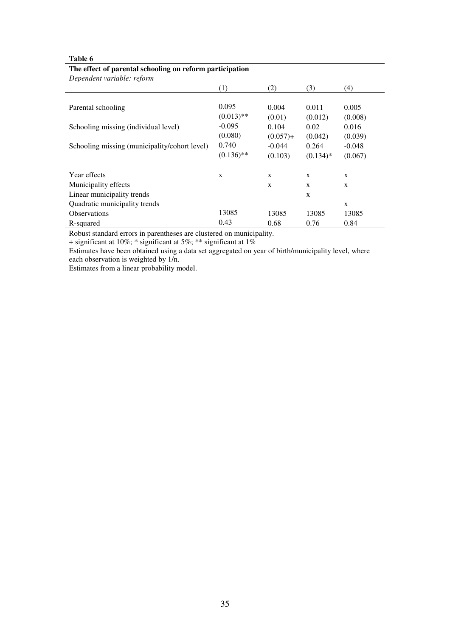| The criter of parental schooning on reform participation<br>Dependent variable: reform |              |             |              |              |
|----------------------------------------------------------------------------------------|--------------|-------------|--------------|--------------|
|                                                                                        | (1)          | (2)         | (3)          | (4)          |
| Parental schooling                                                                     | 0.095        | 0.004       | 0.011        | 0.005        |
|                                                                                        | $(0.013)$ ** | (0.01)      | (0.012)      | (0.008)      |
| Schooling missing (individual level)                                                   | $-0.095$     | 0.104       | 0.02         | 0.016        |
|                                                                                        | (0.080)      | $(0.057) +$ | (0.042)      | (0.039)      |
| Schooling missing (municipality/cohort level)                                          | 0.740        | $-0.044$    | 0.264        | $-0.048$     |
|                                                                                        | $(0.136)$ ** | (0.103)     | $(0.134)*$   | (0.067)      |
| Year effects                                                                           | X            | X           | X            | X            |
| Municipality effects                                                                   |              | X           | $\mathbf{x}$ | $\mathbf{x}$ |
| Linear municipality trends                                                             |              |             | X            |              |
| Quadratic municipality trends                                                          |              |             |              | X            |
| <b>Observations</b>                                                                    | 13085        | 13085       | 13085        | 13085        |
| R-squared                                                                              | 0.43         | 0.68        | 0.76         | 0.84         |

#### **The effect of parental schooling on reform participation**

Robust standard errors in parentheses are clustered on municipality.

+ significant at 10%; \* significant at 5%; \*\* significant at 1%

Estimates have been obtained using a data set aggregated on year of birth/municipality level, where each observation is weighted by 1/n.

Estimates from a linear probability model.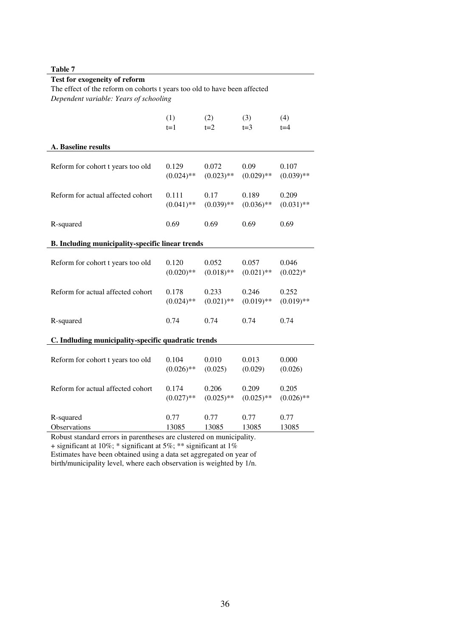| Test for exogeneity of reform                                             |              |              |              |              |  |  |  |  |  |
|---------------------------------------------------------------------------|--------------|--------------|--------------|--------------|--|--|--|--|--|
| The effect of the reform on cohorts t years too old to have been affected |              |              |              |              |  |  |  |  |  |
| Dependent variable: Years of schooling                                    |              |              |              |              |  |  |  |  |  |
|                                                                           | (1)          | (2)          | (3)          | (4)          |  |  |  |  |  |
|                                                                           | $t=1$        | $t=2$        | $t=3$        | $t=4$        |  |  |  |  |  |
| A. Baseline results                                                       |              |              |              |              |  |  |  |  |  |
| Reform for cohort t years too old                                         | 0.129        | 0.072        | 0.09         | 0.107        |  |  |  |  |  |
|                                                                           | $(0.024)$ ** | $(0.023)$ ** | $(0.029)$ ** | $(0.039)$ ** |  |  |  |  |  |
| Reform for actual affected cohort                                         | 0.111        | 0.17         | 0.189        | 0.209        |  |  |  |  |  |
|                                                                           | $(0.041)$ ** | $(0.039)$ ** | $(0.036)$ ** | $(0.031)$ ** |  |  |  |  |  |
| R-squared                                                                 | 0.69         | 0.69         | 0.69         | 0.69         |  |  |  |  |  |
| B. Including municipality-specific linear trends                          |              |              |              |              |  |  |  |  |  |
| Reform for cohort t years too old                                         | 0.120        | 0.052        | 0.057        | 0.046        |  |  |  |  |  |
|                                                                           | $(0.020)$ ** | $(0.018)$ ** | $(0.021)$ ** | $(0.022)*$   |  |  |  |  |  |
| Reform for actual affected cohort                                         | 0.178        | 0.233        | 0.246        | 0.252        |  |  |  |  |  |
|                                                                           | $(0.024)$ ** | $(0.021)$ ** | $(0.019)$ ** | $(0.019)$ ** |  |  |  |  |  |
| R-squared                                                                 | 0.74         | 0.74         | 0.74         | 0.74         |  |  |  |  |  |
| C. Indluding municipality-specific quadratic trends                       |              |              |              |              |  |  |  |  |  |
| Reform for cohort t years too old                                         | 0.104        | 0.010        | 0.013        | 0.000        |  |  |  |  |  |
|                                                                           | $(0.026)$ ** | (0.025)      | (0.029)      | (0.026)      |  |  |  |  |  |
| Reform for actual affected cohort                                         | 0.174        | 0.206        | 0.209        | 0.205        |  |  |  |  |  |
|                                                                           | $(0.027)$ ** | $(0.025)$ ** | $(0.025)$ ** | $(0.026)$ ** |  |  |  |  |  |
| R-squared                                                                 | 0.77         | 0.77         | 0.77         | 0.77         |  |  |  |  |  |
| Observations                                                              | 13085        | 13085        | 13085        | 13085        |  |  |  |  |  |

 $\mathbb{R}^2$ 

Robust standard errors in parentheses are clustered on municipality.

+ significant at 10%; \* significant at 5%; \*\* significant at 1%

Estimates have been obtained using a data set aggregated on year of birth/municipality level, where each observation is weighted by 1/n.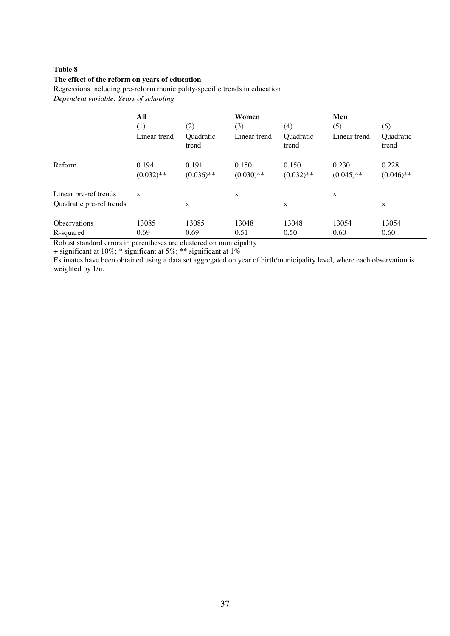#### **The effect of the reform on years of education**

Regressions including pre-reform municipality-specific trends in education

*Dependent variable: Years of schooling* 

|                                                   | All<br>(1)            | (2)                   | Women<br>(3)          | (4)                   | Men<br>(5)            | (6)                   |
|---------------------------------------------------|-----------------------|-----------------------|-----------------------|-----------------------|-----------------------|-----------------------|
|                                                   | Linear trend          | Quadratic<br>trend    | Linear trend          | Quadratic<br>trend    | Linear trend          | Quadratic<br>trend    |
| Reform                                            | 0.194<br>$(0.032)$ ** | 0.191<br>$(0.036)$ ** | 0.150<br>$(0.030)$ ** | 0.150<br>$(0.032)$ ** | 0.230<br>$(0.045)$ ** | 0.228<br>$(0.046)$ ** |
| Linear pre-ref trends<br>Quadratic pre-ref trends | X                     | X                     | X                     | X                     | X                     | X                     |
| <b>Observations</b><br>R-squared                  | 13085<br>0.69         | 13085<br>0.69         | 13048<br>0.51         | 13048<br>0.50         | 13054<br>0.60         | 13054<br>0.60         |

Robust standard errors in parentheses are clustered on municipality

 $+$  significant at 10%; \* significant at 5%; \*\* significant at 1%

Estimates have been obtained using a data set aggregated on year of birth/municipality level, where each observation is weighted by 1/n.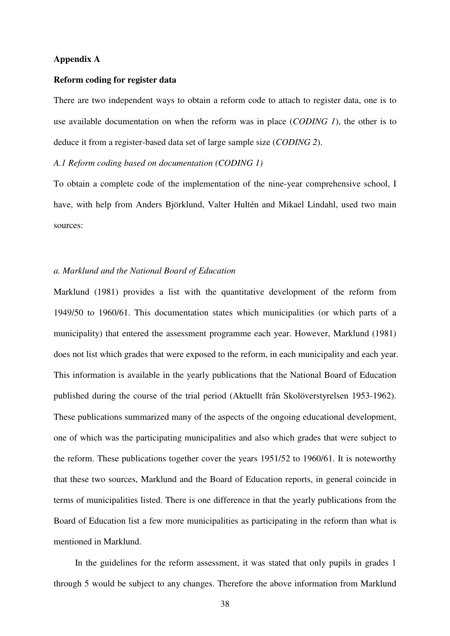#### **Appendix A**

#### **Reform coding for register data**

There are two independent ways to obtain a reform code to attach to register data, one is to use available documentation on when the reform was in place (*CODING 1*), the other is to deduce it from a register-based data set of large sample size (*CODING 2*).

#### *A.1 Reform coding based on documentation (CODING 1)*

To obtain a complete code of the implementation of the nine-year comprehensive school, I have, with help from Anders Björklund, Valter Hultén and Mikael Lindahl, used two main sources:

#### *a. Marklund and the National Board of Education*

Marklund (1981) provides a list with the quantitative development of the reform from 1949/50 to 1960/61. This documentation states which municipalities (or which parts of a municipality) that entered the assessment programme each year. However, Marklund (1981) does not list which grades that were exposed to the reform, in each municipality and each year. This information is available in the yearly publications that the National Board of Education published during the course of the trial period (Aktuellt från Skolöverstyrelsen 1953-1962). These publications summarized many of the aspects of the ongoing educational development, one of which was the participating municipalities and also which grades that were subject to the reform. These publications together cover the years 1951/52 to 1960/61. It is noteworthy that these two sources, Marklund and the Board of Education reports, in general coincide in terms of municipalities listed. There is one difference in that the yearly publications from the Board of Education list a few more municipalities as participating in the reform than what is mentioned in Marklund.

In the guidelines for the reform assessment, it was stated that only pupils in grades 1 through 5 would be subject to any changes. Therefore the above information from Marklund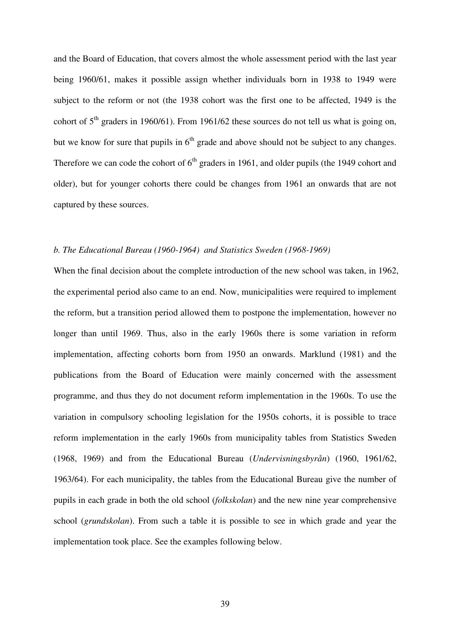and the Board of Education, that covers almost the whole assessment period with the last year being 1960/61, makes it possible assign whether individuals born in 1938 to 1949 were subject to the reform or not (the 1938 cohort was the first one to be affected, 1949 is the cohort of  $5<sup>th</sup>$  graders in 1960/61). From 1961/62 these sources do not tell us what is going on, but we know for sure that pupils in  $6<sup>th</sup>$  grade and above should not be subject to any changes. Therefore we can code the cohort of  $6<sup>th</sup>$  graders in 1961, and older pupils (the 1949 cohort and older), but for younger cohorts there could be changes from 1961 an onwards that are not captured by these sources.

#### *b. The Educational Bureau (1960-1964) and Statistics Sweden (1968-1969)*

When the final decision about the complete introduction of the new school was taken, in 1962, the experimental period also came to an end. Now, municipalities were required to implement the reform, but a transition period allowed them to postpone the implementation, however no longer than until 1969. Thus, also in the early 1960s there is some variation in reform implementation, affecting cohorts born from 1950 an onwards. Marklund (1981) and the publications from the Board of Education were mainly concerned with the assessment programme, and thus they do not document reform implementation in the 1960s. To use the variation in compulsory schooling legislation for the 1950s cohorts, it is possible to trace reform implementation in the early 1960s from municipality tables from Statistics Sweden (1968, 1969) and from the Educational Bureau (*Undervisningsbyrån*) (1960, 1961/62, 1963/64). For each municipality, the tables from the Educational Bureau give the number of pupils in each grade in both the old school (*folkskolan*) and the new nine year comprehensive school (*grundskolan*). From such a table it is possible to see in which grade and year the implementation took place. See the examples following below.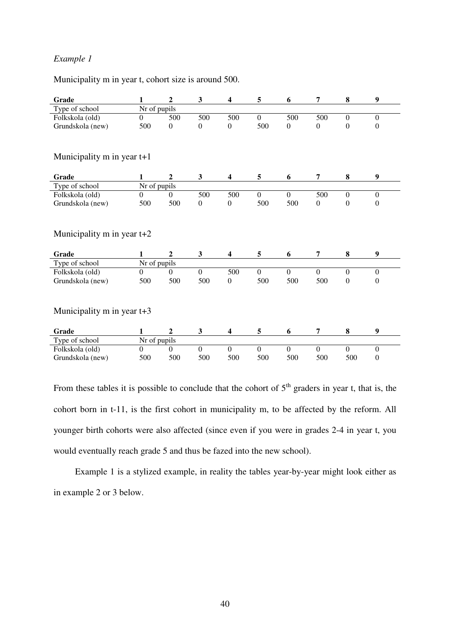## *Example 1*

Municipality m in year t, cohort size is around 500.

| Grade                                 | 1              | $\overline{2}$   | 3                       | $\overline{\mathbf{4}}$ | 5                | 6                | 7                | 8                | $\boldsymbol{9}$ |  |  |
|---------------------------------------|----------------|------------------|-------------------------|-------------------------|------------------|------------------|------------------|------------------|------------------|--|--|
| Type of school                        | Nr of pupils   |                  |                         |                         |                  |                  |                  |                  |                  |  |  |
| Folkskola (old)                       | $\overline{0}$ | 500              | 500                     | 500                     | $\mathbf{0}$     | 500              | 500              | $\theta$         | $\boldsymbol{0}$ |  |  |
| Grundskola (new)                      | 500            | $\theta$         | $\boldsymbol{0}$        | $\boldsymbol{0}$        | 500              | $\boldsymbol{0}$ | $\boldsymbol{0}$ | $\theta$         | $\boldsymbol{0}$ |  |  |
| Municipality $m$ in year $t+1$        |                |                  |                         |                         |                  |                  |                  |                  |                  |  |  |
| Grade                                 | 1              | $\mathbf{2}$     | $\mathbf{3}$            | $\overline{\mathbf{4}}$ | 5                | 6                | 7                | 8                | $\boldsymbol{9}$ |  |  |
| Type of school                        | Nr of pupils   |                  |                         |                         |                  |                  |                  |                  |                  |  |  |
| Folkskola (old)                       | $\Omega$       | $\boldsymbol{0}$ | 500                     | 500                     | $\boldsymbol{0}$ | $\overline{0}$   | 500              | $\boldsymbol{0}$ | $\mathbf{0}$     |  |  |
| Grundskola (new)                      | 500            | 500              | $\boldsymbol{0}$        | $\overline{0}$          | 500              | 500              | $\boldsymbol{0}$ | $\overline{0}$   | $\boldsymbol{0}$ |  |  |
| Municipality m in year $t+2$<br>Grade | $\mathbf{1}$   | $\overline{2}$   | $\overline{\mathbf{3}}$ | $\overline{\mathbf{4}}$ | 5                | 6                | 7                | 8                | $\boldsymbol{9}$ |  |  |
| Type of school                        | Nr of pupils   |                  |                         |                         |                  |                  |                  |                  |                  |  |  |
| Folkskola (old)                       | $\mathbf{0}$   | $\Omega$         | $\Omega$                | 500                     | $\overline{0}$   | $\boldsymbol{0}$ | $\overline{0}$   | $\mathbf{0}$     | $\mathbf{0}$     |  |  |
| Grundskola (new)                      | 500            | 500              | 500                     | $\boldsymbol{0}$        | 500              | 500              | 500              | $\boldsymbol{0}$ | $\boldsymbol{0}$ |  |  |
| Municipality $m$ in year $t+3$        |                |                  |                         |                         |                  |                  |                  |                  |                  |  |  |
| Grade                                 | 1              | $\overline{2}$   | 3                       | $\overline{\mathbf{4}}$ | 5                | 6                | $\overline{7}$   | 8                | 9                |  |  |
| Type of school                        | Nr of pupils   |                  |                         |                         |                  |                  |                  |                  |                  |  |  |
| Folkskola (old)                       | $\Omega$       | $\mathbf{0}$     | $\overline{0}$          | $\boldsymbol{0}$        | $\overline{0}$   | $\boldsymbol{0}$ | $\overline{0}$   | $\boldsymbol{0}$ | $\boldsymbol{0}$ |  |  |
| Grundskola (new)                      | 500            | 500              | 500                     | 500                     | 500              | 500              | 500              | 500              | $\boldsymbol{0}$ |  |  |

From these tables it is possible to conclude that the cohort of  $5<sup>th</sup>$  graders in year t, that is, the cohort born in t-11, is the first cohort in municipality m, to be affected by the reform. All younger birth cohorts were also affected (since even if you were in grades 2-4 in year t, you would eventually reach grade 5 and thus be fazed into the new school).

Example 1 is a stylized example, in reality the tables year-by-year might look either as in example 2 or 3 below.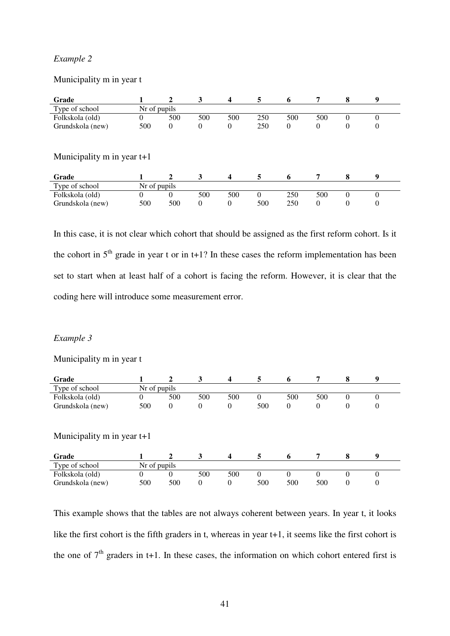## *Example 2*

## Municipality m in year t

| Grade                                                                                                            |              | $\mathbf{2}$   | 3        | $\overline{\mathbf{4}}$ | 5        | 6        | 7        | 8        | 9        |
|------------------------------------------------------------------------------------------------------------------|--------------|----------------|----------|-------------------------|----------|----------|----------|----------|----------|
| Type of school                                                                                                   | Nr of pupils |                |          |                         |          |          |          |          |          |
| Folkskola (old)                                                                                                  | $_{0}$       | 500            | 500      | 500                     | 250      | 500      | 500      | 0        | $\Omega$ |
| Grundskola (new)                                                                                                 | 500          | $\overline{0}$ | 0        | $\theta$                | 250      | $\theta$ | $\theta$ | 0        | $\theta$ |
| Municipality $m$ in year $t+1$<br>5<br>9<br>Grade<br>3<br>8<br>$\mathbf{2}$<br>$\overline{\mathbf{4}}$<br>7<br>6 |              |                |          |                         |          |          |          |          |          |
| Type of school                                                                                                   | Nr of pupils |                |          |                         |          |          |          |          |          |
| Folkskola (old)                                                                                                  | 0            | $\Omega$       | 500      | 500                     | $\theta$ | 250      | 500      | $\Omega$ | $\Omega$ |
| Grundskola (new)                                                                                                 | 500          | 500            | $\theta$ | $\Omega$                | 500      | 250      | $\Omega$ | 0        | $\Omega$ |

In this case, it is not clear which cohort that should be assigned as the first reform cohort. Is it the cohort in  $5<sup>th</sup>$  grade in year t or in t+1? In these cases the reform implementation has been set to start when at least half of a cohort is facing the reform. However, it is clear that the coding here will introduce some measurement error.

## *Example 3*

## Municipality m in year t

| Grade                                                                                                 |              | $\mathbf{2}$ | 3        | $\overline{\mathbf{4}}$ | 5        | 6        | 7        | 8              | 9        |  |
|-------------------------------------------------------------------------------------------------------|--------------|--------------|----------|-------------------------|----------|----------|----------|----------------|----------|--|
| Type of school                                                                                        | Nr of pupils |              |          |                         |          |          |          |                |          |  |
| Folkskola (old)                                                                                       | 0            | 500          | 500      | 500                     | $\Omega$ | 500      | 500      | $\theta$       | $\Omega$ |  |
| Grundskola (new)                                                                                      | 500          | $\theta$     | $\theta$ | $\theta$                | 500      | $\theta$ | $\theta$ | $\overline{0}$ | $\theta$ |  |
| Municipality $m$ in year $t+1$<br>$\overline{\mathbf{4}}$<br>9<br>Grade<br>3<br>5<br>8<br>2<br>7<br>6 |              |              |          |                         |          |          |          |                |          |  |
| Type of school                                                                                        | Nr of pupils |              |          |                         |          |          |          |                |          |  |
| Folkskola (old)                                                                                       | 0            | $\Omega$     | 500      | 500                     | $\theta$ | $\Omega$ | 0        | $\theta$       | $\Omega$ |  |
| Grundskola (new)                                                                                      | 500          | 500          | $\theta$ | $\theta$                | 500      | 500      | 500      | 0              | $\Omega$ |  |

This example shows that the tables are not always coherent between years. In year t, it looks like the first cohort is the fifth graders in t, whereas in year t+1, it seems like the first cohort is the one of  $7<sup>th</sup>$  graders in t+1. In these cases, the information on which cohort entered first is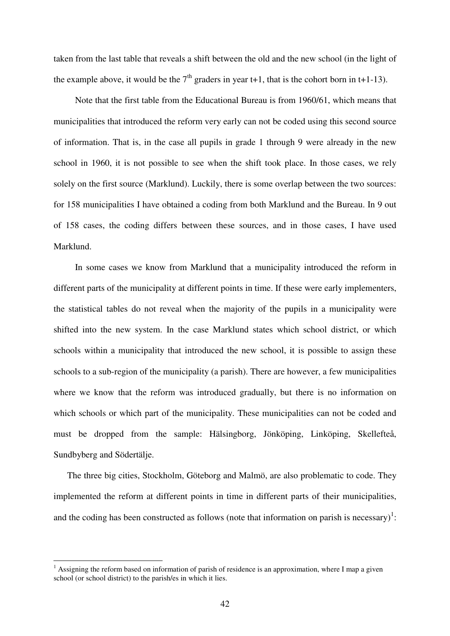taken from the last table that reveals a shift between the old and the new school (in the light of the example above, it would be the  $7<sup>th</sup>$  graders in year t+1, that is the cohort born in t+1-13).

Note that the first table from the Educational Bureau is from 1960/61, which means that municipalities that introduced the reform very early can not be coded using this second source of information. That is, in the case all pupils in grade 1 through 9 were already in the new school in 1960, it is not possible to see when the shift took place. In those cases, we rely solely on the first source (Marklund). Luckily, there is some overlap between the two sources: for 158 municipalities I have obtained a coding from both Marklund and the Bureau. In 9 out of 158 cases, the coding differs between these sources, and in those cases, I have used Marklund.

In some cases we know from Marklund that a municipality introduced the reform in different parts of the municipality at different points in time. If these were early implementers, the statistical tables do not reveal when the majority of the pupils in a municipality were shifted into the new system. In the case Marklund states which school district, or which schools within a municipality that introduced the new school, it is possible to assign these schools to a sub-region of the municipality (a parish). There are however, a few municipalities where we know that the reform was introduced gradually, but there is no information on which schools or which part of the municipality. These municipalities can not be coded and must be dropped from the sample: Hälsingborg, Jönköping, Linköping, Skellefteå, Sundbyberg and Södertälje.

The three big cities, Stockholm, Göteborg and Malmö, are also problematic to code. They implemented the reform at different points in time in different parts of their municipalities, and the coding has been constructed as follows (note that information on parish is necessary)<sup>1</sup>:

 $\overline{a}$ 

 $<sup>1</sup>$  Assigning the reform based on information of parish of residence is an approximation, where I map a given</sup> school (or school district) to the parish/es in which it lies.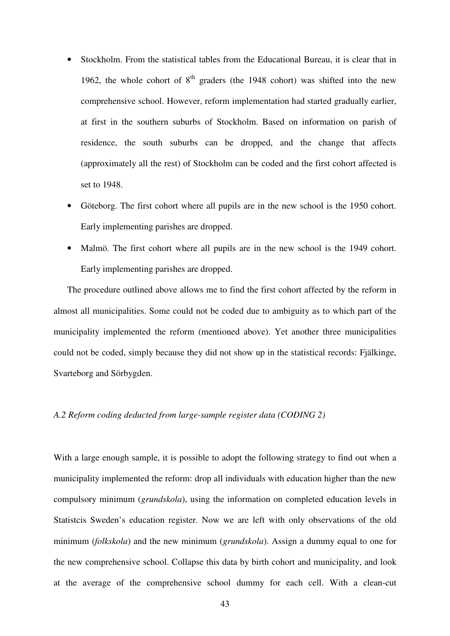- Stockholm. From the statistical tables from the Educational Bureau, it is clear that in 1962, the whole cohort of  $8<sup>th</sup>$  graders (the 1948 cohort) was shifted into the new comprehensive school. However, reform implementation had started gradually earlier, at first in the southern suburbs of Stockholm. Based on information on parish of residence, the south suburbs can be dropped, and the change that affects (approximately all the rest) of Stockholm can be coded and the first cohort affected is set to 1948.
- Göteborg. The first cohort where all pupils are in the new school is the 1950 cohort. Early implementing parishes are dropped.
- Malmö. The first cohort where all pupils are in the new school is the 1949 cohort. Early implementing parishes are dropped.

The procedure outlined above allows me to find the first cohort affected by the reform in almost all municipalities. Some could not be coded due to ambiguity as to which part of the municipality implemented the reform (mentioned above). Yet another three municipalities could not be coded, simply because they did not show up in the statistical records: Fjälkinge, Svarteborg and Sörbygden.

#### *A.2 Reform coding deducted from large-sample register data (CODING 2)*

With a large enough sample, it is possible to adopt the following strategy to find out when a municipality implemented the reform: drop all individuals with education higher than the new compulsory minimum (*grundskola*), using the information on completed education levels in Statistcis Sweden's education register. Now we are left with only observations of the old minimum (*folkskola*) and the new minimum (*grundskola*). Assign a dummy equal to one for the new comprehensive school. Collapse this data by birth cohort and municipality, and look at the average of the comprehensive school dummy for each cell. With a clean-cut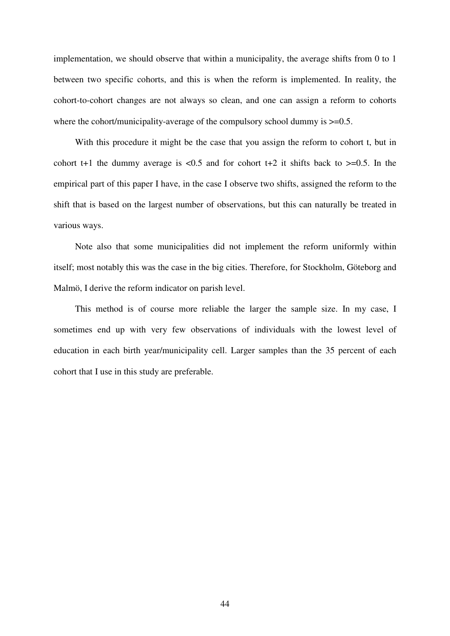implementation, we should observe that within a municipality, the average shifts from 0 to 1 between two specific cohorts, and this is when the reform is implemented. In reality, the cohort-to-cohort changes are not always so clean, and one can assign a reform to cohorts where the cohort/municipality-average of the compulsory school dummy is  $\geq 0.5$ .

With this procedure it might be the case that you assign the reform to cohort t, but in cohort t+1 the dummy average is  $\langle 0.5 \rangle$  and for cohort t+2 it shifts back to  $\geq 0.5$ . In the empirical part of this paper I have, in the case I observe two shifts, assigned the reform to the shift that is based on the largest number of observations, but this can naturally be treated in various ways.

Note also that some municipalities did not implement the reform uniformly within itself; most notably this was the case in the big cities. Therefore, for Stockholm, Göteborg and Malmö, I derive the reform indicator on parish level.

 This method is of course more reliable the larger the sample size. In my case, I sometimes end up with very few observations of individuals with the lowest level of education in each birth year/municipality cell. Larger samples than the 35 percent of each cohort that I use in this study are preferable.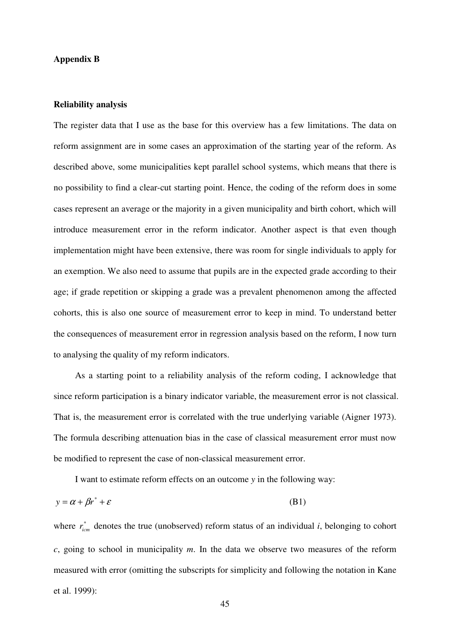#### **Appendix B**

#### **Reliability analysis**

The register data that I use as the base for this overview has a few limitations. The data on reform assignment are in some cases an approximation of the starting year of the reform. As described above, some municipalities kept parallel school systems, which means that there is no possibility to find a clear-cut starting point. Hence, the coding of the reform does in some cases represent an average or the majority in a given municipality and birth cohort, which will introduce measurement error in the reform indicator. Another aspect is that even though implementation might have been extensive, there was room for single individuals to apply for an exemption. We also need to assume that pupils are in the expected grade according to their age; if grade repetition or skipping a grade was a prevalent phenomenon among the affected cohorts, this is also one source of measurement error to keep in mind. To understand better the consequences of measurement error in regression analysis based on the reform, I now turn to analysing the quality of my reform indicators.

As a starting point to a reliability analysis of the reform coding, I acknowledge that since reform participation is a binary indicator variable, the measurement error is not classical. That is, the measurement error is correlated with the true underlying variable (Aigner 1973). The formula describing attenuation bias in the case of classical measurement error must now be modified to represent the case of non-classical measurement error.

I want to estimate reform effects on an outcome *y* in the following way:

$$
y = \alpha + \beta r^* + \varepsilon \tag{B1}
$$

where  $r_{icm}^*$  denotes the true (unobserved) reform status of an individual *i*, belonging to cohort *c*, going to school in municipality *m*. In the data we observe two measures of the reform measured with error (omitting the subscripts for simplicity and following the notation in Kane et al. 1999):

45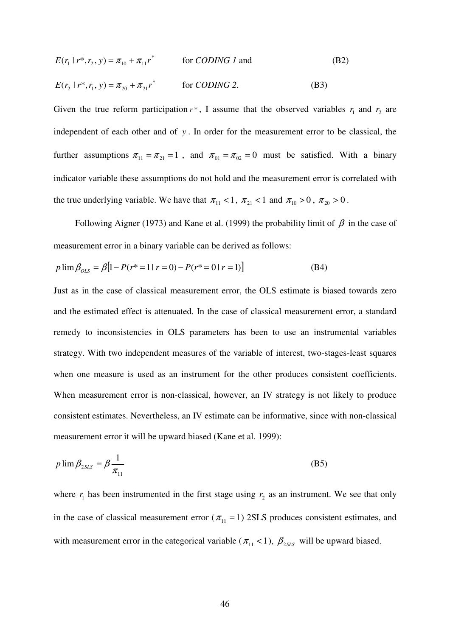$$
E(r_1 | r^*, r_2, y) = \pi_{10} + \pi_{11} r^*
$$
 for *CDING 1* and (B2)  

$$
E(r_2 | r^*, r_1, y) = \pi_{20} + \pi_{21} r^*
$$
 for *CDING 2*. (B3)

Given the true reform participation  $r^*$ , I assume that the observed variables  $r_1$  and  $r_2$  are independent of each other and of *y* . In order for the measurement error to be classical, the further assumptions  $\pi_{11} = \pi_{21} = 1$ , and  $\pi_{01} = \pi_{02} = 0$  must be satisfied. With a binary indicator variable these assumptions do not hold and the measurement error is correlated with the true underlying variable. We have that  $\pi_{11} < 1$ ,  $\pi_{21} < 1$  and  $\pi_{10} > 0$ ,  $\pi_{20} > 0$ .

Following Aigner (1973) and Kane et al. (1999) the probability limit of  $\beta$  in the case of measurement error in a binary variable can be derived as follows:

$$
p \lim \beta_{OLS} = \beta [1 - P(r^* = 1 | r = 0) - P(r^* = 0 | r = 1)] \tag{B4}
$$

Just as in the case of classical measurement error, the OLS estimate is biased towards zero and the estimated effect is attenuated. In the case of classical measurement error, a standard remedy to inconsistencies in OLS parameters has been to use an instrumental variables strategy. With two independent measures of the variable of interest, two-stages-least squares when one measure is used as an instrument for the other produces consistent coefficients. When measurement error is non-classical, however, an IV strategy is not likely to produce consistent estimates. Nevertheless, an IV estimate can be informative, since with non-classical measurement error it will be upward biased (Kane et al. 1999):

$$
p \lim \beta_{2SLS} = \beta \frac{1}{\pi_{11}} \tag{B5}
$$

where  $r_1$  has been instrumented in the first stage using  $r_2$  as an instrument. We see that only in the case of classical measurement error ( $\pi_{11} = 1$ ) 2SLS produces consistent estimates, and with measurement error in the categorical variable ( $\pi_{11}$  < 1),  $\beta_{2SLS}$  will be upward biased.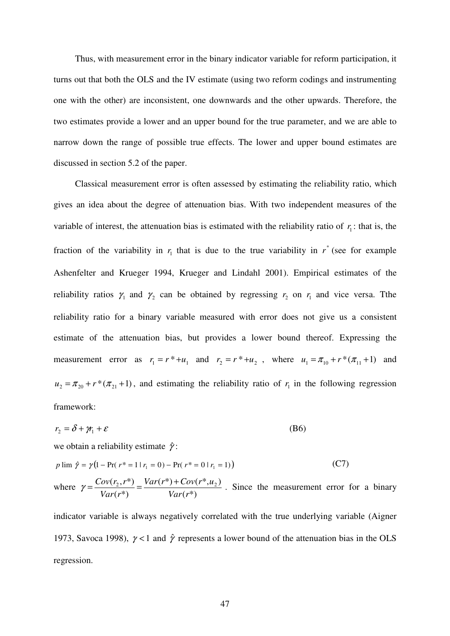Thus, with measurement error in the binary indicator variable for reform participation, it turns out that both the OLS and the IV estimate (using two reform codings and instrumenting one with the other) are inconsistent, one downwards and the other upwards. Therefore, the two estimates provide a lower and an upper bound for the true parameter, and we are able to narrow down the range of possible true effects. The lower and upper bound estimates are discussed in section 5.2 of the paper.

Classical measurement error is often assessed by estimating the reliability ratio, which gives an idea about the degree of attenuation bias. With two independent measures of the variable of interest, the attenuation bias is estimated with the reliability ratio of  $r<sub>i</sub>$ : that is, the fraction of the variability in  $r_1$  that is due to the true variability in  $r^*$  (see for example Ashenfelter and Krueger 1994, Krueger and Lindahl 2001). Empirical estimates of the reliability ratios  $\gamma_1$  and  $\gamma_2$  can be obtained by regressing  $r_2$  on  $r_1$  and vice versa. The reliability ratio for a binary variable measured with error does not give us a consistent estimate of the attenuation bias, but provides a lower bound thereof. Expressing the measurement error as  $r_1 = r^* + u_1$  and  $r_2 = r^* + u_2$ , where  $u_1 = \pi_{10} + r^* (\pi_{11} + 1)$  and  $u_2 = \pi_{20} + r^*(\pi_{21} + 1)$ , and estimating the reliability ratio of  $r_1$  in the following regression framework:

$$
r_2 = \delta + \gamma_1 + \varepsilon \tag{B6}
$$

we obtain a reliability estimate  $\hat{\gamma}$ :

$$
p \lim \hat{\gamma} = \gamma (1 - \Pr(r^* = 1 | r_1 = 0) - \Pr(r^* = 0 | r_1 = 1))
$$
 (C7)

where 
$$
\gamma = \frac{Cov(r_2, r^*)}{Var(r^*)} = \frac{Var(r^*) + Cov(r^*, u_2)}{Var(r^*)}
$$
. Since the measurement error for a binary

indicator variable is always negatively correlated with the true underlying variable (Aigner 1973, Savoca 1998),  $\gamma$  < 1 and  $\hat{\gamma}$  represents a lower bound of the attenuation bias in the OLS regression.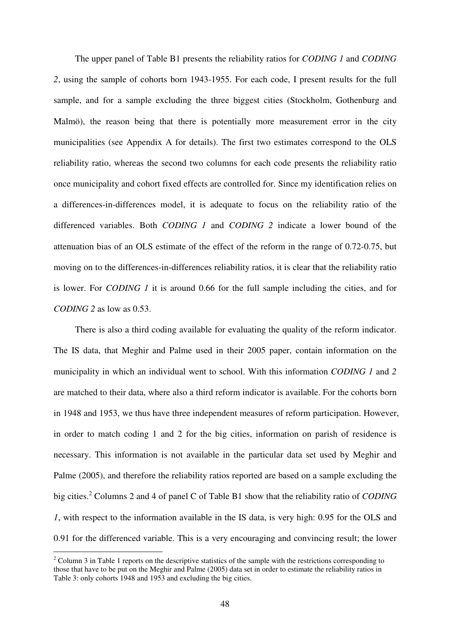The upper panel of Table B1 presents the reliability ratios for *CODING 1* and *CODING 2*, using the sample of cohorts born 1943-1955. For each code, I present results for the full sample, and for a sample excluding the three biggest cities (Stockholm, Gothenburg and Malmö), the reason being that there is potentially more measurement error in the city municipalities (see Appendix A for details). The first two estimates correspond to the OLS reliability ratio, whereas the second two columns for each code presents the reliability ratio once municipality and cohort fixed effects are controlled for. Since my identification relies on a differences-in-differences model, it is adequate to focus on the reliability ratio of the differenced variables. Both *CODING 1* and *CODING 2* indicate a lower bound of the attenuation bias of an OLS estimate of the effect of the reform in the range of 0.72-0.75, but moving on to the differences-in-differences reliability ratios, it is clear that the reliability ratio is lower. For *CODING 1* it is around 0.66 for the full sample including the cities, and for *CODING 2* as low as 0.53.

There is also a third coding available for evaluating the quality of the reform indicator. The IS data, that Meghir and Palme used in their 2005 paper, contain information on the municipality in which an individual went to school. With this information *CODING 1* and *2* are matched to their data, where also a third reform indicator is available. For the cohorts born in 1948 and 1953, we thus have three independent measures of reform participation. However, in order to match coding 1 and 2 for the big cities, information on parish of residence is necessary. This information is not available in the particular data set used by Meghir and Palme (2005), and therefore the reliability ratios reported are based on a sample excluding the big cities.<sup>2</sup> Columns 2 and 4 of panel C of Table B1 show that the reliability ratio of *CODING 1*, with respect to the information available in the IS data, is very high: 0.95 for the OLS and 0.91 for the differenced variable. This is a very encouraging and convincing result; the lower

 $\overline{a}$ 

 $2^2$  Column 3 in Table 1 reports on the descriptive statistics of the sample with the restrictions corresponding to those that have to be put on the Meghir and Palme (2005) data set in order to estimate the reliability ratios in Table 3: only cohorts 1948 and 1953 and excluding the big cities.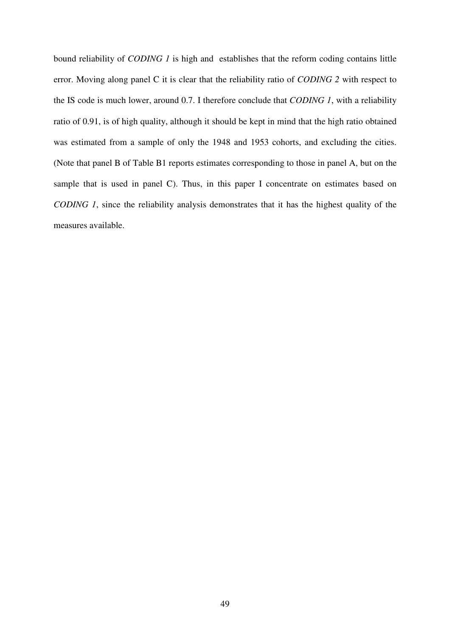bound reliability of *CODING 1* is high and establishes that the reform coding contains little error. Moving along panel C it is clear that the reliability ratio of *CODING 2* with respect to the IS code is much lower, around 0.7. I therefore conclude that *CODING 1*, with a reliability ratio of 0.91, is of high quality, although it should be kept in mind that the high ratio obtained was estimated from a sample of only the 1948 and 1953 cohorts, and excluding the cities. (Note that panel B of Table B1 reports estimates corresponding to those in panel A, but on the sample that is used in panel C). Thus, in this paper I concentrate on estimates based on *CODING 1*, since the reliability analysis demonstrates that it has the highest quality of the measures available.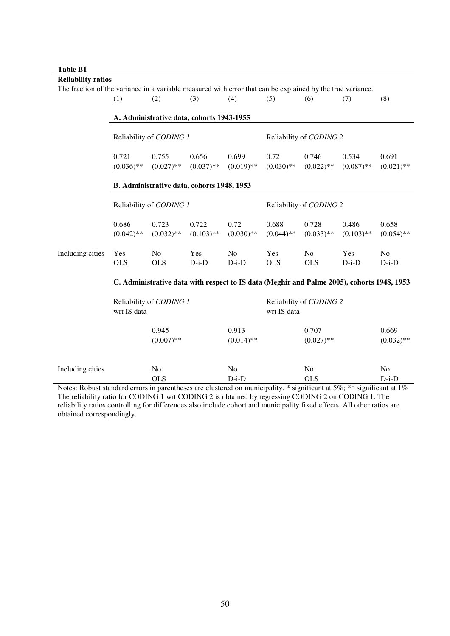#### **Table B1**

| <b>Reliability ratios</b>                                                                                  |                                                                                            |                         |                   |                |                         |              |                                                  |                |  |  |  |  |
|------------------------------------------------------------------------------------------------------------|--------------------------------------------------------------------------------------------|-------------------------|-------------------|----------------|-------------------------|--------------|--------------------------------------------------|----------------|--|--|--|--|
| The fraction of the variance in a variable measured with error that can be explained by the true variance. |                                                                                            |                         |                   |                |                         |              |                                                  |                |  |  |  |  |
|                                                                                                            | (1)                                                                                        | (2)                     | (3)               | (4)            | (5)                     | (6)          | (7)                                              | (8)            |  |  |  |  |
|                                                                                                            |                                                                                            |                         |                   |                |                         |              |                                                  |                |  |  |  |  |
|                                                                                                            | A. Administrative data, cohorts 1943-1955                                                  |                         |                   |                |                         |              |                                                  |                |  |  |  |  |
|                                                                                                            |                                                                                            | Reliability of CODING 1 |                   |                | Reliability of CODING 2 |              |                                                  |                |  |  |  |  |
|                                                                                                            | 0.721                                                                                      | 0.755                   | 0.656             | 0.699          | 0.72                    | 0.746        | 0.534                                            | 0.691          |  |  |  |  |
|                                                                                                            | $(0.036)$ **                                                                               | $(0.027)$ **            | $(0.037)$ **      | $(0.019)$ **   | $(0.030)$ **            | $(0.022)$ ** | $(0.087)$ **                                     | $(0.021)$ **   |  |  |  |  |
|                                                                                                            |                                                                                            |                         |                   |                |                         |              |                                                  |                |  |  |  |  |
|                                                                                                            | B. Administrative data, cohorts 1948, 1953                                                 |                         |                   |                |                         |              |                                                  |                |  |  |  |  |
|                                                                                                            |                                                                                            | Reliability of CODING 1 |                   |                | Reliability of CODING 2 |              |                                                  |                |  |  |  |  |
|                                                                                                            | 0.686                                                                                      | 0.723                   | 0.722             | 0.72           | 0.688                   | 0.728        | 0.486                                            | 0.658          |  |  |  |  |
|                                                                                                            | $(0.042)$ **                                                                               | $(0.032)$ **            | $(0.103)$ **      | $(0.030)$ **   | $(0.044)$ **            | $(0.033)$ ** | $(0.103)$ **                                     | $(0.054)$ **   |  |  |  |  |
|                                                                                                            |                                                                                            |                         |                   |                |                         |              |                                                  |                |  |  |  |  |
| Including cities                                                                                           | Yes                                                                                        | No                      | Yes               | N <sub>o</sub> | Yes                     | No           | Yes                                              | N <sub>o</sub> |  |  |  |  |
|                                                                                                            | <b>OLS</b>                                                                                 | <b>OLS</b>              | $D-i-D$           | $D-i-D$        | <b>OLS</b>              | <b>OLS</b>   | $D-i-D$                                          | $D-i-D$        |  |  |  |  |
|                                                                                                            | C. Administrative data with respect to IS data (Meghir and Palme 2005), cohorts 1948, 1953 |                         |                   |                |                         |              |                                                  |                |  |  |  |  |
|                                                                                                            |                                                                                            |                         |                   |                |                         |              |                                                  |                |  |  |  |  |
|                                                                                                            |                                                                                            | Reliability of CODING 1 |                   |                | Reliability of CODING 2 |              |                                                  |                |  |  |  |  |
|                                                                                                            | wrt IS data                                                                                |                         |                   |                | wrt IS data             |              |                                                  |                |  |  |  |  |
|                                                                                                            |                                                                                            | 0.945                   |                   | 0.913          |                         | 0.707        |                                                  | 0.669          |  |  |  |  |
|                                                                                                            |                                                                                            | $(0.007)$ **            |                   | $(0.014)$ **   |                         | $(0.027)$ ** |                                                  | $(0.032)$ **   |  |  |  |  |
|                                                                                                            |                                                                                            |                         |                   |                |                         |              |                                                  |                |  |  |  |  |
| Including cities                                                                                           |                                                                                            | No                      |                   | No             |                         | No           |                                                  | No             |  |  |  |  |
|                                                                                                            |                                                                                            | <b>OLS</b>              |                   | $D-i-D$        |                         | <b>OLS</b>   |                                                  | $D-i-D$        |  |  |  |  |
| Material Distance at an initial in                                                                         |                                                                                            | د د داخت                | ماله ومحفظ وبالمر |                |                         |              | $time 11$ $% time 10$ $% count 100$ $% time 100$ |                |  |  |  |  |

Notes: Robust standard errors in parentheses are clustered on municipality. \* significant at 5%; \*\* significant at 1% The reliability ratio for CODING 1 wrt CODING 2 is obtained by regressing CODING 2 on CODING 1. The reliability ratios controlling for differences also include cohort and municipality fixed effects. All other ratios are obtained correspondingly.